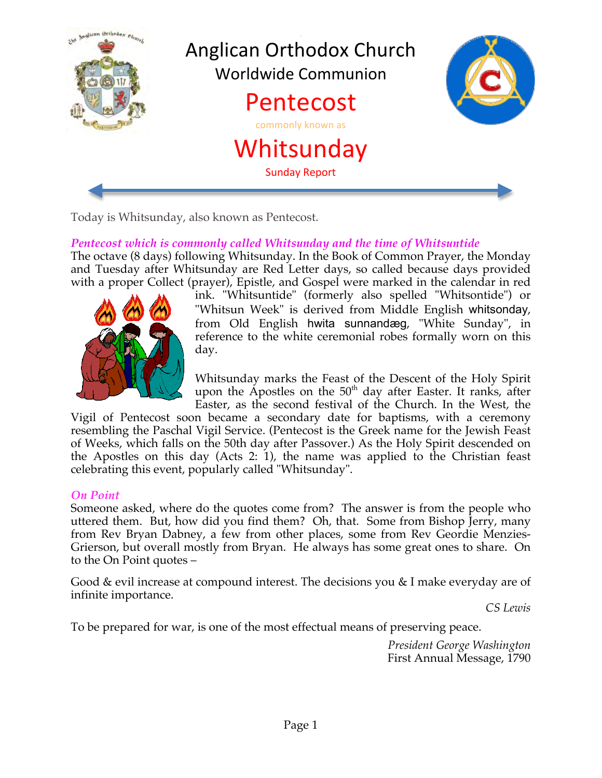

Today is Whitsunday, also known as Pentecost.

# *Pentecost which is commonly called Whitsunday and the time of Whitsuntide*

The octave (8 days) following Whitsunday. In the Book of Common Prayer, the Monday and Tuesday after Whitsunday are Red Letter days, so called because days provided with a proper Collect (prayer), Epistle, and Gospel were marked in the calendar in red



ink. "Whitsuntide" (formerly also spelled "Whitsontide") or "Whitsun Week" is derived from Middle English whitsonday, from Old English hwita sunnandæg, "White Sunday", in reference to the white ceremonial robes formally worn on this day.

Whitsunday marks the Feast of the Descent of the Holy Spirit upon the Apostles on the 50<sup>th</sup> day after Easter. It ranks, after Easter, as the second festival of the Church. In the West, the

Vigil of Pentecost soon became a secondary date for baptisms, with a ceremony resembling the Paschal Vigil Service. (Pentecost is the Greek name for the Jewish Feast of Weeks, which falls on the 50th day after Passover.) As the Holy Spirit descended on the Apostles on this day (Acts 2: 1), the name was applied to the Christian feast celebrating this event, popularly called "Whitsunday".

### *On Point*

Someone asked, where do the quotes come from? The answer is from the people who uttered them. But, how did you find them? Oh, that. Some from Bishop Jerry, many from Rev Bryan Dabney, a few from other places, some from Rev Geordie Menzies-Grierson, but overall mostly from Bryan. He always has some great ones to share. On to the On Point quotes –

Good & evil increase at compound interest. The decisions you & I make everyday are of infinite importance.

*CS Lewis*

To be prepared for war, is one of the most effectual means of preserving peace.

*President George Washington* First Annual Message, 1790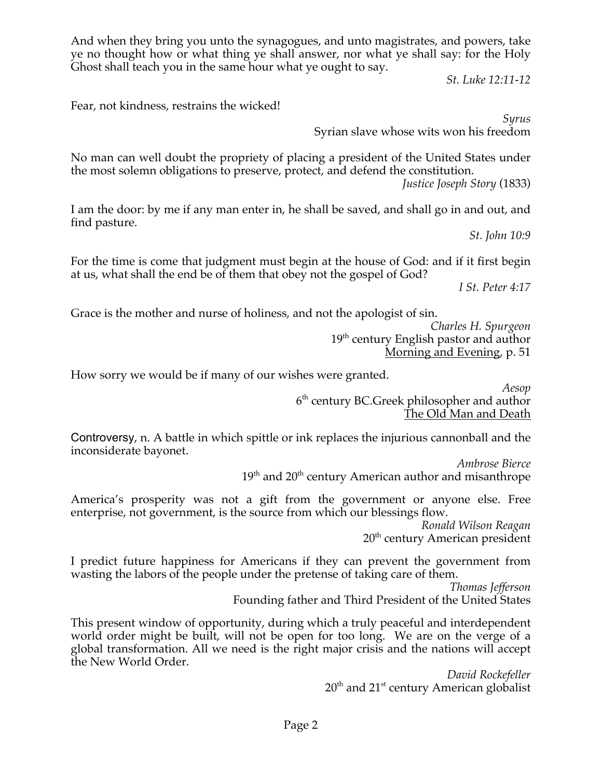And when they bring you unto the synagogues, and unto magistrates, and powers, take ye no thought how or what thing ye shall answer, nor what ye shall say: for the Holy Ghost shall teach you in the same hour what ye ought to say.

*St. Luke 12:11-12*

Fear, not kindness, restrains the wicked!

*Syrus* Syrian slave whose wits won his freedom

No man can well doubt the propriety of placing a president of the United States under the most solemn obligations to preserve, protect, and defend the constitution.

*Justice Joseph Story* (1833)

I am the door: by me if any man enter in, he shall be saved, and shall go in and out, and find pasture.

*St. John 10:9*

For the time is come that judgment must begin at the house of God: and if it first begin at us, what shall the end be of them that obey not the gospel of God?

*I St. Peter 4:17*

Grace is the mother and nurse of holiness, and not the apologist of sin.

*Charles H. Spurgeon* 19<sup>th</sup> century English pastor and author Morning and Evening, p. 51

How sorry we would be if many of our wishes were granted.

*Aesop* 6<sup>th</sup> century BC.Greek philosopher and author The Old Man and Death

Controversy, n. A battle in which spittle or ink replaces the injurious cannonball and the inconsiderate bayonet.

> *Ambrose Bierce*  $19<sup>th</sup>$  and  $20<sup>th</sup>$  century American author and misanthrope

America's prosperity was not a gift from the government or anyone else. Free enterprise, not government, is the source from which our blessings flow.

> *Ronald Wilson Reagan* 20<sup>th</sup> century American president

I predict future happiness for Americans if they can prevent the government from wasting the labors of the people under the pretense of taking care of them.

*Thomas Jefferson* Founding father and Third President of the United States

This present window of opportunity, during which a truly peaceful and interdependent world order might be built, will not be open for too long. We are on the verge of a global transformation. All we need is the right major crisis and the nations will accept the New World Order.

> *David Rockefeller*  $20<sup>th</sup>$  and  $21<sup>st</sup>$  century American globalist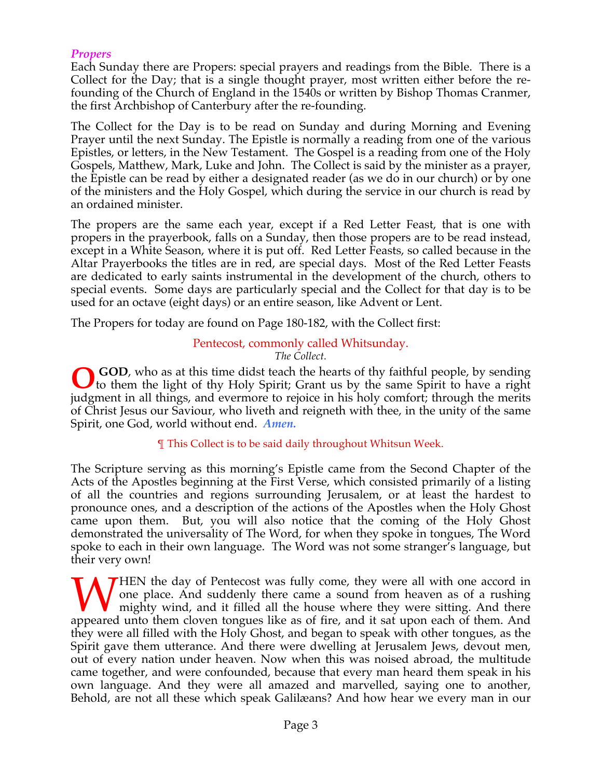## *Propers*

Each Sunday there are Propers: special prayers and readings from the Bible. There is a Collect for the Day; that is a single thought prayer, most written either before the refounding of the Church of England in the 1540s or written by Bishop Thomas Cranmer, the first Archbishop of Canterbury after the re-founding.

The Collect for the Day is to be read on Sunday and during Morning and Evening Prayer until the next Sunday. The Epistle is normally a reading from one of the various Epistles, or letters, in the New Testament. The Gospel is a reading from one of the Holy Gospels, Matthew, Mark, Luke and John. The Collect is said by the minister as a prayer, the Epistle can be read by either a designated reader (as we do in our church) or by one of the ministers and the Holy Gospel, which during the service in our church is read by an ordained minister.

The propers are the same each year, except if a Red Letter Feast, that is one with propers in the prayerbook, falls on a Sunday, then those propers are to be read instead, except in a White Season, where it is put off. Red Letter Feasts, so called because in the Altar Prayerbooks the titles are in red, are special days. Most of the Red Letter Feasts are dedicated to early saints instrumental in the development of the church, others to special events. Some days are particularly special and the Collect for that day is to be used for an octave (eight days) or an entire season, like Advent or Lent.

The Propers for today are found on Page 180-182, with the Collect first:

#### Pentecost, commonly called Whitsunday. *The Collect.*

**GOD**, who as at this time didst teach the hearts of thy faithful people, by sending **O** GOD, who as at this time didst teach the hearts of thy faithful people, by sending to them the light of thy Holy Spirit; Grant us by the same Spirit to have a right judgment in all things, and evermore to rejoice in his holy comfort; through the merits of Christ Jesus our Saviour, who liveth and reigneth with thee, in the unity of the same Spirit, one God, world without end. *Amen.*

¶ This Collect is to be said daily throughout Whitsun Week.

The Scripture serving as this morning's Epistle came from the Second Chapter of the Acts of the Apostles beginning at the First Verse, which consisted primarily of a listing of all the countries and regions surrounding Jerusalem, or at least the hardest to pronounce ones, and a description of the actions of the Apostles when the Holy Ghost came upon them. But, you will also notice that the coming of the Holy Ghost demonstrated the universality of The Word, for when they spoke in tongues, The Word spoke to each in their own language. The Word was not some stranger's language, but their very own!

THEN the day of Pentecost was fully come, they were all with one accord in one place. And suddenly there came a sound from heaven as of a rushing mighty wind, and it filled all the house where they were sitting. And there WHEN the day of Pentecost was fully come, they were all with one accord in one place. And suddenly there came a sound from heaven as of a rushing mighty wind, and it filled all the house where they were sitting. And there they were all filled with the Holy Ghost, and began to speak with other tongues, as the Spirit gave them utterance. And there were dwelling at Jerusalem Jews, devout men, out of every nation under heaven. Now when this was noised abroad, the multitude came together, and were confounded, because that every man heard them speak in his own language. And they were all amazed and marvelled, saying one to another, Behold, are not all these which speak Galilæans? And how hear we every man in our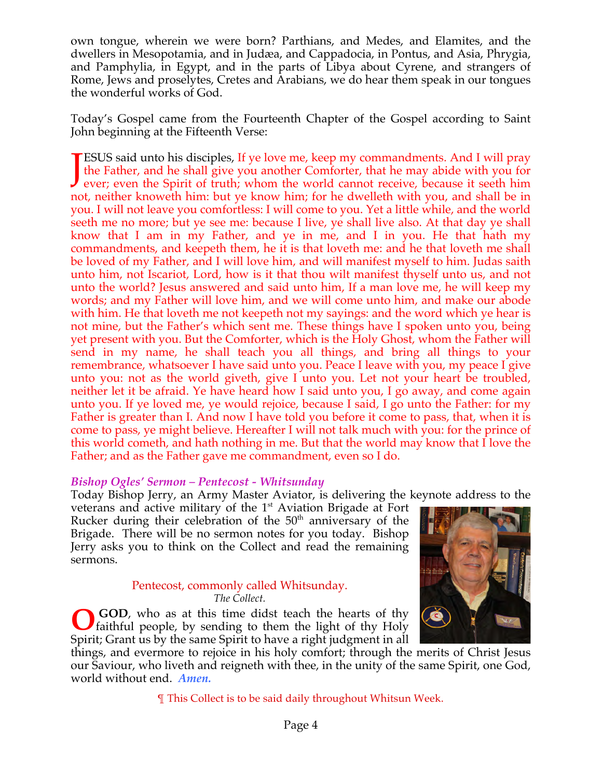own tongue, wherein we were born? Parthians, and Medes, and Elamites, and the dwellers in Mesopotamia, and in Judæa, and Cappadocia, in Pontus, and Asia, Phrygia, and Pamphylia, in Egypt, and in the parts of Libya about Cyrene, and strangers of Rome, Jews and proselytes, Cretes and Arabians, we do hear them speak in our tongues the wonderful works of God.

Today's Gospel came from the Fourteenth Chapter of the Gospel according to Saint John beginning at the Fifteenth Verse:

ESUS said unto his disciples, If ye love me, keep my commandments. And I will pray the Father, and he shall give you another Comforter, that he may abide with you for **JESUS** said unto his disciples, If ye love me, keep my commandments. And I will pray the Father, and he shall give you another Comforter, that he may abide with you for ever; even the Spirit of truth; whom the world canno not, neither knoweth him: but ye know him; for he dwelleth with you, and shall be in you. I will not leave you comfortless: I will come to you. Yet a little while, and the world seeth me no more; but ye see me: because I live, ye shall live also. At that day ye shall know that I am in my Father, and ye in me, and I in you. He that hath my commandments, and keepeth them, he it is that loveth me: and he that loveth me shall be loved of my Father, and I will love him, and will manifest myself to him. Judas saith unto him, not Iscariot, Lord, how is it that thou wilt manifest thyself unto us, and not unto the world? Jesus answered and said unto him, If a man love me, he will keep my words; and my Father will love him, and we will come unto him, and make our abode with him. He that loveth me not keepeth not my sayings: and the word which ye hear is not mine, but the Father's which sent me. These things have I spoken unto you, being yet present with you. But the Comforter, which is the Holy Ghost, whom the Father will send in my name, he shall teach you all things, and bring all things to your remembrance, whatsoever I have said unto you. Peace I leave with you, my peace I give unto you: not as the world giveth, give I unto you. Let not your heart be troubled, neither let it be afraid. Ye have heard how I said unto you, I go away, and come again unto you. If ye loved me, ye would rejoice, because I said, I go unto the Father: for my Father is greater than I. And now I have told you before it come to pass, that, when it is come to pass, ye might believe. Hereafter I will not talk much with you: for the prince of this world cometh, and hath nothing in me. But that the world may know that I love the Father; and as the Father gave me commandment, even so I do.

#### *Bishop Ogles' Sermon – Pentecost - Whitsunday*

Today Bishop Jerry, an Army Master Aviator, is delivering the keynote address to the

veterans and active military of the 1<sup>st</sup> Aviation Brigade at Fort Rucker during their celebration of the  $50<sup>th</sup>$  anniversary of the Brigade. There will be no sermon notes for you today. Bishop Jerry asks you to think on the Collect and read the remaining sermons.

#### Pentecost, commonly called Whitsunday. *The Collect.*

 **GOD**, who as at this time didst teach the hearts of thy faithful people, by sending to them the light of thy Holy Spirit; Grant us by the same Spirit to have a right judgment in all **O**



things, and evermore to rejoice in his holy comfort; through the merits of Christ Jesus our Saviour, who liveth and reigneth with thee, in the unity of the same Spirit, one God, world without end. *Amen.*

¶ This Collect is to be said daily throughout Whitsun Week.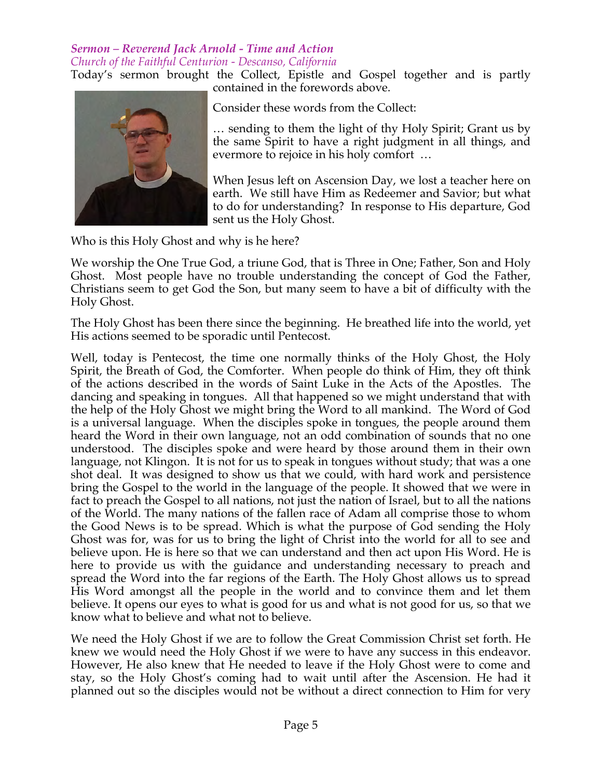#### *Sermon – Reverend Jack Arnold - Time and Action Church of the Faithful Centurion - Descanso, California*

Today's sermon brought the Collect, Epistle and Gospel together and is partly contained in the forewords above.



Consider these words from the Collect:

… sending to them the light of thy Holy Spirit; Grant us by the same Spirit to have a right judgment in all things, and evermore to rejoice in his holy comfort …

When Jesus left on Ascension Day, we lost a teacher here on earth. We still have Him as Redeemer and Savior; but what to do for understanding? In response to His departure, God sent us the Holy Ghost.

Who is this Holy Ghost and why is he here?

We worship the One True God, a triune God, that is Three in One; Father, Son and Holy Ghost. Most people have no trouble understanding the concept of God the Father, Christians seem to get God the Son, but many seem to have a bit of difficulty with the Holy Ghost.

The Holy Ghost has been there since the beginning. He breathed life into the world, yet His actions seemed to be sporadic until Pentecost.

Well, today is Pentecost, the time one normally thinks of the Holy Ghost, the Holy Spirit, the Breath of God, the Comforter. When people do think of Him, they oft think of the actions described in the words of Saint Luke in the Acts of the Apostles. The dancing and speaking in tongues. All that happened so we might understand that with the help of the Holy Ghost we might bring the Word to all mankind. The Word of God is a universal language. When the disciples spoke in tongues, the people around them heard the Word in their own language, not an odd combination of sounds that no one understood. The disciples spoke and were heard by those around them in their own language, not Klingon. It is not for us to speak in tongues without study; that was a one shot deal. It was designed to show us that we could, with hard work and persistence bring the Gospel to the world in the language of the people. It showed that we were in fact to preach the Gospel to all nations, not just the nation of Israel, but to all the nations of the World. The many nations of the fallen race of Adam all comprise those to whom the Good News is to be spread. Which is what the purpose of God sending the Holy Ghost was for, was for us to bring the light of Christ into the world for all to see and believe upon. He is here so that we can understand and then act upon His Word. He is here to provide us with the guidance and understanding necessary to preach and spread the Word into the far regions of the Earth. The Holy Ghost allows us to spread His Word amongst all the people in the world and to convince them and let them believe. It opens our eyes to what is good for us and what is not good for us, so that we know what to believe and what not to believe.

We need the Holy Ghost if we are to follow the Great Commission Christ set forth. He knew we would need the Holy Ghost if we were to have any success in this endeavor. However, He also knew that He needed to leave if the Holy Ghost were to come and stay, so the Holy Ghost's coming had to wait until after the Ascension. He had it planned out so the disciples would not be without a direct connection to Him for very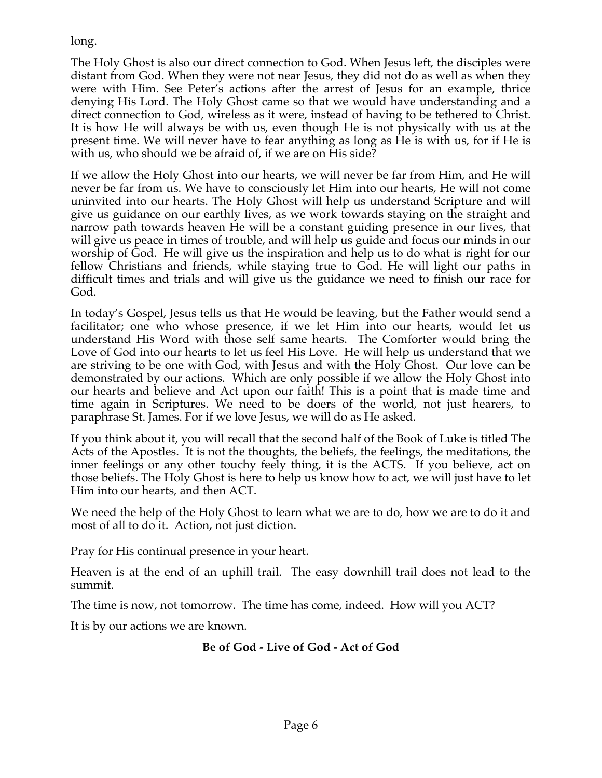long.

The Holy Ghost is also our direct connection to God. When Jesus left, the disciples were distant from God. When they were not near Jesus, they did not do as well as when they were with Him. See Peter's actions after the arrest of Jesus for an example, thrice denying His Lord. The Holy Ghost came so that we would have understanding and a direct connection to God, wireless as it were, instead of having to be tethered to Christ. It is how He will always be with us, even though He is not physically with us at the present time. We will never have to fear anything as long as He is with us, for if He is with us, who should we be afraid of, if we are on His side?

If we allow the Holy Ghost into our hearts, we will never be far from Him, and He will never be far from us. We have to consciously let Him into our hearts, He will not come uninvited into our hearts. The Holy Ghost will help us understand Scripture and will give us guidance on our earthly lives, as we work towards staying on the straight and narrow path towards heaven He will be a constant guiding presence in our lives, that will give us peace in times of trouble, and will help us guide and focus our minds in our worship of God. He will give us the inspiration and help us to do what is right for our fellow Christians and friends, while staying true to God. He will light our paths in difficult times and trials and will give us the guidance we need to finish our race for God.

In today's Gospel, Jesus tells us that He would be leaving, but the Father would send a facilitator; one who whose presence, if we let Him into our hearts, would let us understand His Word with those self same hearts. The Comforter would bring the Love of God into our hearts to let us feel His Love. He will help us understand that we are striving to be one with God, with Jesus and with the Holy Ghost. Our love can be demonstrated by our actions. Which are only possible if we allow the Holy Ghost into our hearts and believe and Act upon our faith! This is a point that is made time and time again in Scriptures. We need to be doers of the world, not just hearers, to paraphrase St. James. For if we love Jesus, we will do as He asked.

If you think about it, you will recall that the second half of the <u>Book of Luke</u> is titled The Acts of the Apostles. It is not the thoughts, the beliefs, the feelings, the meditations, the inner feelings or any other touchy feely thing, it is the ACTS. If you believe, act on those beliefs. The Holy Ghost is here to help us know how to act, we will just have to let Him into our hearts, and then ACT.

We need the help of the Holy Ghost to learn what we are to do, how we are to do it and most of all to do it. Action, not just diction.

Pray for His continual presence in your heart.

Heaven is at the end of an uphill trail. The easy downhill trail does not lead to the summit.

The time is now, not tomorrow. The time has come, indeed. How will you ACT?

It is by our actions we are known.

## **Be of God - Live of God - Act of God**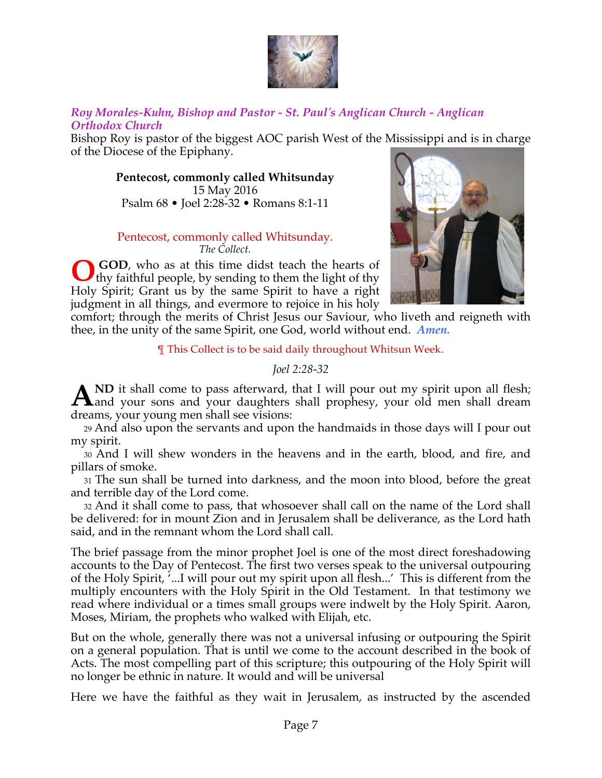

### *Roy Morales-Kuhn, Bishop and Pastor - St. Paul's Anglican Church - Anglican Orthodox Church*

Bishop Roy is pastor of the biggest AOC parish West of the Mississippi and is in charge of the Diocese of the Epiphany.

**Pentecost, commonly called Whitsunday** 15 May 2016 Psalm 68 • Joel 2:28-32 • Romans 8:1-11

#### Pentecost, commonly called Whitsunday. *The Collect.*

 **GOD**, who as at this time didst teach the hearts of thy faithful people, by sending to them the light of thy Holy Spirit; Grant us by the same Spirit to have a right judgment in all things, and evermore to rejoice in his holy **O**



comfort; through the merits of Christ Jesus our Saviour, who liveth and reigneth with thee, in the unity of the same Spirit, one God, world without end. *Amen.*

¶ This Collect is to be said daily throughout Whitsun Week.

## *Joel 2:28-32*

**ND** it shall come to pass afterward, that I will pour out my spirit upon all flesh; AND it shall come to pass afterward, that I will pour out my spirit upon all flesh;<br>daughters shall prophesy, your old men shall dream dreams, your young men shall see visions:

29 And also upon the servants and upon the handmaids in those days will I pour out my spirit.

30 And I will shew wonders in the heavens and in the earth, blood, and fire, and pillars of smoke.

31 The sun shall be turned into darkness, and the moon into blood, before the great and terrible day of the Lord come.

32 And it shall come to pass, that whosoever shall call on the name of the Lord shall be delivered: for in mount Zion and in Jerusalem shall be deliverance, as the Lord hath said, and in the remnant whom the Lord shall call.

The brief passage from the minor prophet Joel is one of the most direct foreshadowing accounts to the Day of Pentecost. The first two verses speak to the universal outpouring of the Holy Spirit, '...I will pour out my spirit upon all flesh...' This is different from the multiply encounters with the Holy Spirit in the Old Testament. In that testimony we read where individual or a times small groups were indwelt by the Holy Spirit. Aaron, Moses, Miriam, the prophets who walked with Elijah, etc.

But on the whole, generally there was not a universal infusing or outpouring the Spirit on a general population. That is until we come to the account described in the book of Acts. The most compelling part of this scripture; this outpouring of the Holy Spirit will no longer be ethnic in nature. It would and will be universal

Here we have the faithful as they wait in Jerusalem, as instructed by the ascended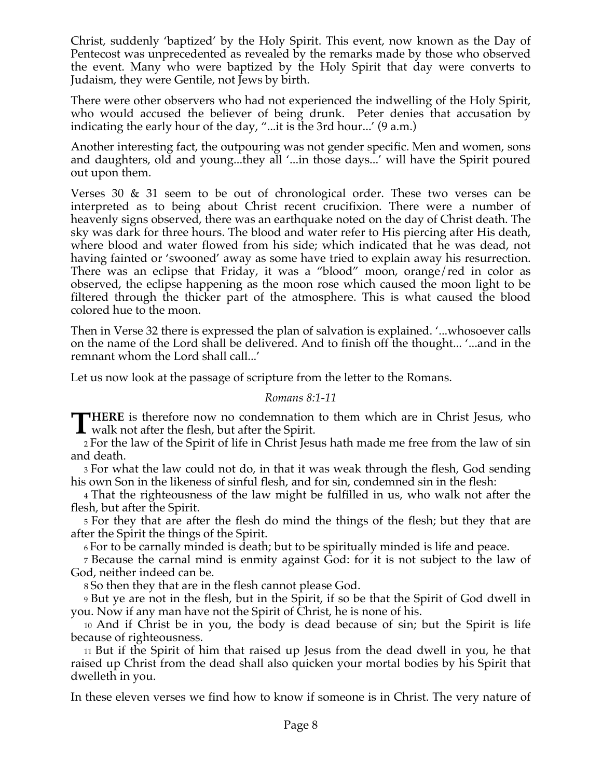Christ, suddenly 'baptized' by the Holy Spirit. This event, now known as the Day of Pentecost was unprecedented as revealed by the remarks made by those who observed the event. Many who were baptized by the Holy Spirit that day were converts to Judaism, they were Gentile, not Jews by birth.

There were other observers who had not experienced the indwelling of the Holy Spirit, who would accused the believer of being drunk. Peter denies that accusation by indicating the early hour of the day, "...it is the 3rd hour...' (9 a.m.)

Another interesting fact, the outpouring was not gender specific. Men and women, sons and daughters, old and young...they all '...in those days...' will have the Spirit poured out upon them.

Verses 30 & 31 seem to be out of chronological order. These two verses can be interpreted as to being about Christ recent crucifixion. There were a number of heavenly signs observed, there was an earthquake noted on the day of Christ death. The sky was dark for three hours. The blood and water refer to His piercing after His death, where blood and water flowed from his side; which indicated that he was dead, not having fainted or 'swooned' away as some have tried to explain away his resurrection. There was an eclipse that Friday, it was a "blood" moon, orange/red in color as observed, the eclipse happening as the moon rose which caused the moon light to be filtered through the thicker part of the atmosphere. This is what caused the blood colored hue to the moon.

Then in Verse 32 there is expressed the plan of salvation is explained. '...whosoever calls on the name of the Lord shall be delivered. And to finish off the thought... '...and in the remnant whom the Lord shall call...'

Let us now look at the passage of scripture from the letter to the Romans.

### *Romans 8:1-11*

**HERE** is therefore now no condemnation to them which are in Christ Jesus, who **THERE** is therefore now no condemnation<br>walk not after the flesh, but after the Spirit.

2 For the law of the Spirit of life in Christ Jesus hath made me free from the law of sin and death.

3 For what the law could not do, in that it was weak through the flesh, God sending his own Son in the likeness of sinful flesh, and for sin, condemned sin in the flesh:

4 That the righteousness of the law might be fulfilled in us, who walk not after the flesh, but after the Spirit.

5 For they that are after the flesh do mind the things of the flesh; but they that are after the Spirit the things of the Spirit.

6 For to be carnally minded is death; but to be spiritually minded is life and peace.

7 Because the carnal mind is enmity against God: for it is not subject to the law of God, neither indeed can be.

8 So then they that are in the flesh cannot please God.

9 But ye are not in the flesh, but in the Spirit, if so be that the Spirit of God dwell in you. Now if any man have not the Spirit of Christ, he is none of his.

10 And if Christ be in you, the body is dead because of sin; but the Spirit is life because of righteousness.

11 But if the Spirit of him that raised up Jesus from the dead dwell in you, he that raised up Christ from the dead shall also quicken your mortal bodies by his Spirit that dwelleth in you.

In these eleven verses we find how to know if someone is in Christ. The very nature of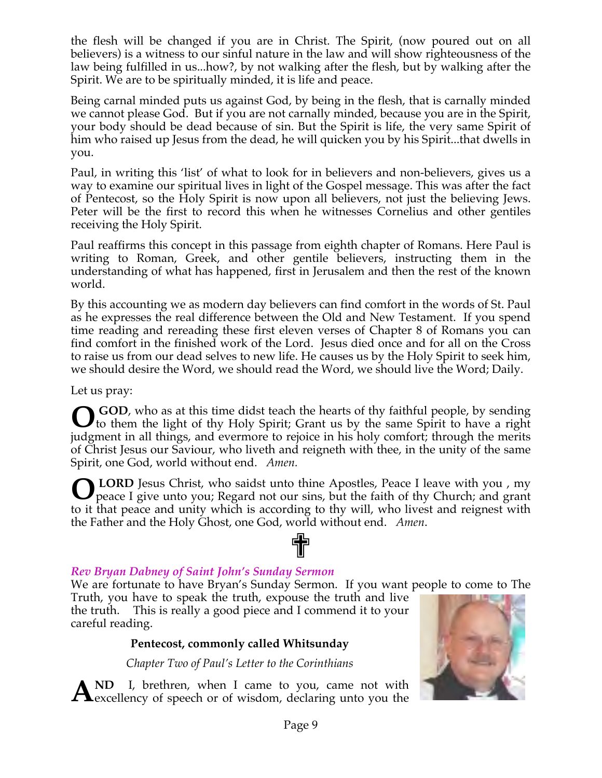the flesh will be changed if you are in Christ. The Spirit, (now poured out on all believers) is a witness to our sinful nature in the law and will show righteousness of the law being fulfilled in us...how?, by not walking after the flesh, but by walking after the Spirit. We are to be spiritually minded, it is life and peace.

Being carnal minded puts us against God, by being in the flesh, that is carnally minded we cannot please God. But if you are not carnally minded, because you are in the Spirit, your body should be dead because of sin. But the Spirit is life, the very same Spirit of him who raised up Jesus from the dead, he will quicken you by his Spirit...that dwells in you.

Paul, in writing this 'list' of what to look for in believers and non-believers, gives us a way to examine our spiritual lives in light of the Gospel message. This was after the fact of Pentecost, so the Holy Spirit is now upon all believers, not just the believing Jews. Peter will be the first to record this when he witnesses Cornelius and other gentiles receiving the Holy Spirit.

Paul reaffirms this concept in this passage from eighth chapter of Romans. Here Paul is writing to Roman, Greek, and other gentile believers, instructing them in the understanding of what has happened, first in Jerusalem and then the rest of the known world.

By this accounting we as modern day believers can find comfort in the words of St. Paul as he expresses the real difference between the Old and New Testament. If you spend time reading and rereading these first eleven verses of Chapter 8 of Romans you can find comfort in the finished work of the Lord. Jesus died once and for all on the Cross to raise us from our dead selves to new life. He causes us by the Holy Spirit to seek him, we should desire the Word, we should read the Word, we should live the Word; Daily.

Let us pray:

**O** GOD, who as at this time didst teach the hearts of thy faithful people, by sending to them the light of thy Holy Spirit; Grant us by the same Spirit to have a right to them the light of thy Holy Spirit; Grant us by the same Spirit to have a right judgment in all things, and evermore to rejoice in his holy comfort; through the merits of Christ Jesus our Saviour, who liveth and reigneth with thee, in the unity of the same Spirit, one God, world without end. *Amen.*

**LORD** Jesus Christ, who saidst unto thine Apostles, Peace I leave with you, my peace I give unto you; Regard not our sins, but the faith of thy Church; and grant to it that peace and unity which is according to thy will, who livest and reignest with the Father and the Holy Ghost, one God, world without end. *Amen*. ✟ **O**

## *Rev Bryan Dabney of Saint John's Sunday Sermon*

We are fortunate to have Bryan's Sunday Sermon. If you want people to come to The

Truth, you have to speak the truth, expouse the truth and live the truth. This is really a good piece and I commend it to your careful reading.

## **Pentecost, commonly called Whitsunday**

*Chapter Two of Paul's Letter to the Corinthians*

**ND** I, brethren, when I came to you, came not with AND I, brethren, when I came to you, came not with excellency of speech or of wisdom, declaring unto you the

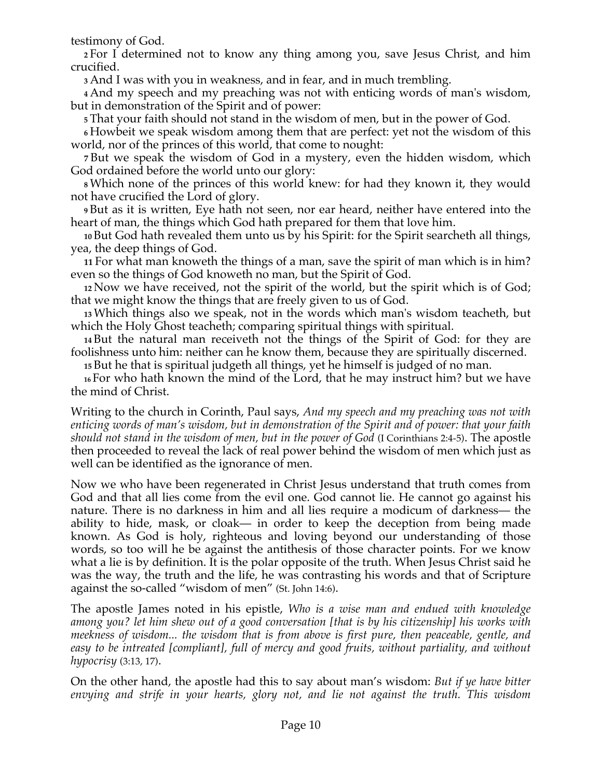testimony of God.

**<sup>2</sup>** For I determined not to know any thing among you, save Jesus Christ, and him crucified.

**<sup>3</sup>** And I was with you in weakness, and in fear, and in much trembling.

**<sup>4</sup>** And my speech and my preaching was not with enticing words of man's wisdom, but in demonstration of the Spirit and of power:

**<sup>5</sup>** That your faith should not stand in the wisdom of men, but in the power of God.

**<sup>6</sup>** Howbeit we speak wisdom among them that are perfect: yet not the wisdom of this world, nor of the princes of this world, that come to nought:

**7** But we speak the wisdom of God in a mystery, even the hidden wisdom, which God ordained before the world unto our glory:

**<sup>8</sup>** Which none of the princes of this world knew: for had they known it, they would not have crucified the Lord of glory.

**<sup>9</sup>** But as it is written, Eye hath not seen, nor ear heard, neither have entered into the heart of man, the things which God hath prepared for them that love him.

**<sup>10</sup>** But God hath revealed them unto us by his Spirit: for the Spirit searcheth all things, yea, the deep things of God.

**11** For what man knoweth the things of a man, save the spirit of man which is in him? even so the things of God knoweth no man, but the Spirit of God.

**<sup>12</sup>** Now we have received, not the spirit of the world, but the spirit which is of God; that we might know the things that are freely given to us of God.

**<sup>13</sup>** Which things also we speak, not in the words which man's wisdom teacheth, but which the Holy Ghost teacheth; comparing spiritual things with spiritual.

**<sup>14</sup>** But the natural man receiveth not the things of the Spirit of God: for they are foolishness unto him: neither can he know them, because they are spiritually discerned.

**<sup>15</sup>** But he that is spiritual judgeth all things, yet he himself is judged of no man.

**<sup>16</sup>** For who hath known the mind of the Lord, that he may instruct him? but we have the mind of Christ.

Writing to the church in Corinth, Paul says, *And my speech and my preaching was not with enticing words of man's wisdom, but in demonstration of the Spirit and of power: that your faith should not stand in the wisdom of men, but in the power of God* (I Corinthians 2:4-5). The apostle then proceeded to reveal the lack of real power behind the wisdom of men which just as well can be identified as the ignorance of men.

Now we who have been regenerated in Christ Jesus understand that truth comes from God and that all lies come from the evil one. God cannot lie. He cannot go against his nature. There is no darkness in him and all lies require a modicum of darkness— the ability to hide, mask, or cloak— in order to keep the deception from being made known. As God is holy, righteous and loving beyond our understanding of those words, so too will he be against the antithesis of those character points. For we know what a lie is by definition. It is the polar opposite of the truth. When Jesus Christ said he was the way, the truth and the life, he was contrasting his words and that of Scripture against the so-called "wisdom of men" (St. John 14:6).

The apostle James noted in his epistle, *Who is a wise man and endued with knowledge among you? let him shew out of a good conversation [that is by his citizenship] his works with meekness of wisdom... the wisdom that is from above is first pure, then peaceable, gentle, and easy to be intreated [compliant], full of mercy and good fruits, without partiality, and without hypocrisy* (3:13, 17).

On the other hand, the apostle had this to say about man's wisdom: *But if ye have bitter envying and strife in your hearts, glory not, and lie not against the truth. This wisdom*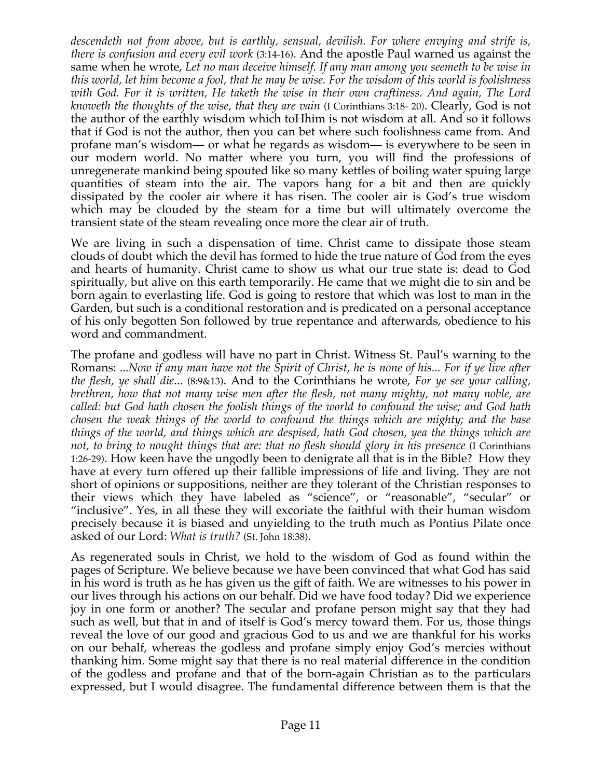*descendeth not from above, but is earthly, sensual, devilish. For where envying and strife is, there is confusion and every evil work* (3:14-16). And the apostle Paul warned us against the same when he wrote, *Let no man deceive himself. If any man among you seemeth to be wise in this world, let him become a fool, that he may be wise. For the wisdom of this world is foolishness with God. For it is written, He taketh the wise in their own craftiness. And again, The Lord knoweth the thoughts of the wise, that they are vain* (I Corinthians 3:18- 20). Clearly, God is not the author of the earthly wisdom which toHhim is not wisdom at all. And so it follows that if God is not the author, then you can bet where such foolishness came from. And profane man's wisdom— or what he regards as wisdom— is everywhere to be seen in our modern world. No matter where you turn, you will find the professions of unregenerate mankind being spouted like so many kettles of boiling water spuing large quantities of steam into the air. The vapors hang for a bit and then are quickly dissipated by the cooler air where it has risen. The cooler air is God's true wisdom which may be clouded by the steam for a time but will ultimately overcome the transient state of the steam revealing once more the clear air of truth.

We are living in such a dispensation of time. Christ came to dissipate those steam clouds of doubt which the devil has formed to hide the true nature of God from the eyes and hearts of humanity. Christ came to show us what our true state is: dead to God spiritually, but alive on this earth temporarily. He came that we might die to sin and be born again to everlasting life. God is going to restore that which was lost to man in the Garden, but such is a conditional restoration and is predicated on a personal acceptance of his only begotten Son followed by true repentance and afterwards, obedience to his word and commandment.

The profane and godless will have no part in Christ. Witness St. Paul's warning to the Romans: ...*Now if any man have not the Spirit of Christ, he is none of his... For if ye live after the flesh, ye shall die*... (8:9&13). And to the Corinthians he wrote, *For ye see your calling, brethren, how that not many wise men after the flesh, not many mighty, not many noble, are called: but God hath chosen the foolish things of the world to confound the wise; and God hath chosen the weak things of the world to confound the things which are mighty; and the base things of the world, and things which are despised, hath God chosen, yea the things which are not, to bring to nought things that are: that no flesh should glory in his presence* (I Corinthians 1:26-29). How keen have the ungodly been to denigrate all that is in the Bible? How they have at every turn offered up their fallible impressions of life and living. They are not short of opinions or suppositions, neither are they tolerant of the Christian responses to their views which they have labeled as "science", or "reasonable", "secular" or "inclusive". Yes, in all these they will excoriate the faithful with their human wisdom precisely because it is biased and unyielding to the truth much as Pontius Pilate once asked of our Lord: *What is truth?* (St. John 18:38).

As regenerated souls in Christ, we hold to the wisdom of God as found within the pages of Scripture. We believe because we have been convinced that what God has said in his word is truth as he has given us the gift of faith. We are witnesses to his power in our lives through his actions on our behalf. Did we have food today? Did we experience joy in one form or another? The secular and profane person might say that they had such as well, but that in and of itself is God's mercy toward them. For us, those things reveal the love of our good and gracious God to us and we are thankful for his works on our behalf, whereas the godless and profane simply enjoy God's mercies without thanking him. Some might say that there is no real material difference in the condition of the godless and profane and that of the born-again Christian as to the particulars expressed, but I would disagree. The fundamental difference between them is that the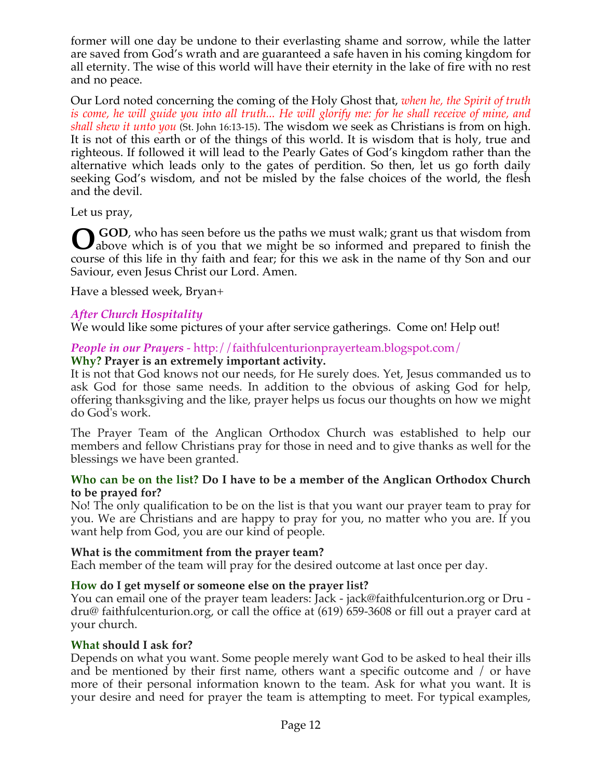former will one day be undone to their everlasting shame and sorrow, while the latter are saved from God's wrath and are guaranteed a safe haven in his coming kingdom for all eternity. The wise of this world will have their eternity in the lake of fire with no rest and no peace.

Our Lord noted concerning the coming of the Holy Ghost that, *when he, the Spirit of truth is come, he will guide you into all truth... He will glorify me: for he shall receive of mine, and shall shew it unto you* (St. John 16:13-15). The wisdom we seek as Christians is from on high. It is not of this earth or of the things of this world. It is wisdom that is holy, true and righteous. If followed it will lead to the Pearly Gates of God's kingdom rather than the alternative which leads only to the gates of perdition. So then, let us go forth daily seeking God's wisdom, and not be misled by the false choices of the world, the flesh and the devil.

Let us pray,

 **GOD**, who has seen before us the paths we must walk; grant us that wisdom from **O** GOD, who has seen before us the paths we must walk; grant us that wisdom from above which is of you that we might be so informed and prepared to finish the course of this life in thy faith and fear; for this we ask in the name of thy Son and our Saviour, even Jesus Christ our Lord. Amen.

Have a blessed week, Bryan+

## *After Church Hospitality*

We would like some pictures of your after service gatherings. Come on! Help out!

## *People in our Prayers* - http://faithfulcenturionprayerteam.blogspot.com/

## **Why? Prayer is an extremely important activity.**

It is not that God knows not our needs, for He surely does. Yet, Jesus commanded us to ask God for those same needs. In addition to the obvious of asking God for help, offering thanksgiving and the like, prayer helps us focus our thoughts on how we might do God's work.

The Prayer Team of the Anglican Orthodox Church was established to help our members and fellow Christians pray for those in need and to give thanks as well for the blessings we have been granted.

### **Who can be on the list? Do I have to be a member of the Anglican Orthodox Church to be prayed for?**

No! The only qualification to be on the list is that you want our prayer team to pray for you. We are Christians and are happy to pray for you, no matter who you are. If you want help from God, you are our kind of people.

### **What is the commitment from the prayer team?**

Each member of the team will pray for the desired outcome at last once per day.

### **How do I get myself or someone else on the prayer list?**

You can email one of the prayer team leaders: Jack - jack@faithfulcenturion.org or Dru dru@ faithfulcenturion.org, or call the office at (619) 659-3608 or fill out a prayer card at your church.

### **What should I ask for?**

Depends on what you want. Some people merely want God to be asked to heal their ills and be mentioned by their first name, others want a specific outcome and / or have more of their personal information known to the team. Ask for what you want. It is your desire and need for prayer the team is attempting to meet. For typical examples,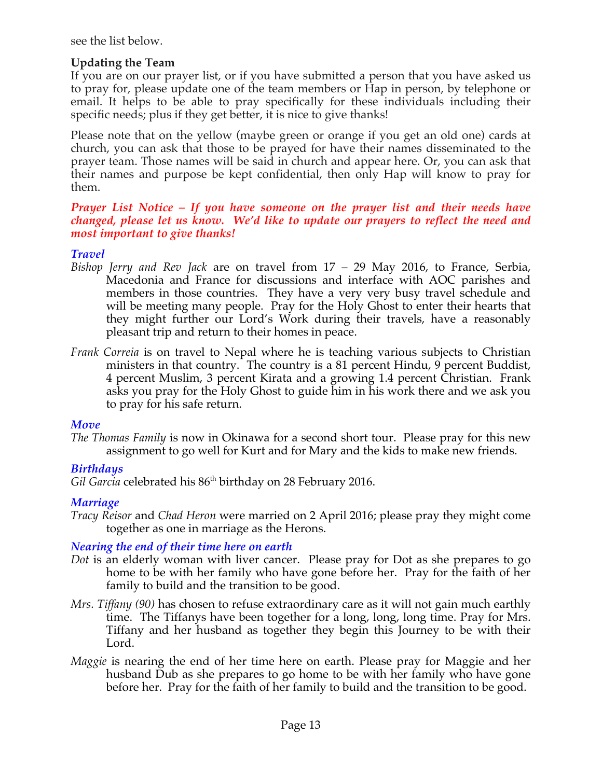see the list below.

### **Updating the Team**

If you are on our prayer list, or if you have submitted a person that you have asked us to pray for, please update one of the team members or Hap in person, by telephone or email. It helps to be able to pray specifically for these individuals including their specific needs; plus if they get better, it is nice to give thanks!

Please note that on the yellow (maybe green or orange if you get an old one) cards at church, you can ask that those to be prayed for have their names disseminated to the prayer team. Those names will be said in church and appear here. Or, you can ask that their names and purpose be kept confidential, then only Hap will know to pray for them.

#### *Prayer List Notice – If you have someone on the prayer list and their needs have changed, please let us know. We'd like to update our prayers to reflect the need and most important to give thanks!*

## *Travel*

- *Bishop Jerry and Rev Jack* are on travel from 17 29 May 2016, to France, Serbia, Macedonia and France for discussions and interface with AOC parishes and members in those countries. They have a very very busy travel schedule and will be meeting many people. Pray for the Holy Ghost to enter their hearts that they might further our Lord's Work during their travels, have a reasonably pleasant trip and return to their homes in peace.
- *Frank Correia* is on travel to Nepal where he is teaching various subjects to Christian ministers in that country. The country is a 81 percent Hindu, 9 percent Buddist, 4 percent Muslim, 3 percent Kirata and a growing 1.4 percent Christian. Frank asks you pray for the Holy Ghost to guide him in his work there and we ask you to pray for his safe return.

### *Move*

*The Thomas Family* is now in Okinawa for a second short tour. Please pray for this new assignment to go well for Kurt and for Mary and the kids to make new friends.

### *Birthdays*

Gil Garcia celebrated his 86<sup>th</sup> birthday on 28 February 2016.

### *Marriage*

*Tracy Reisor* and *Chad Heron* were married on 2 April 2016; please pray they might come together as one in marriage as the Herons.

### *Nearing the end of their time here on earth*

- *Dot* is an elderly woman with liver cancer. Please pray for Dot as she prepares to go home to be with her family who have gone before her. Pray for the faith of her family to build and the transition to be good.
- *Mrs. Tiffany (90)* has chosen to refuse extraordinary care as it will not gain much earthly time. The Tiffanys have been together for a long, long, long time. Pray for Mrs. Tiffany and her husband as together they begin this Journey to be with their Lord.
- *Maggie* is nearing the end of her time here on earth. Please pray for Maggie and her husband Dub as she prepares to go home to be with her family who have gone before her. Pray for the faith of her family to build and the transition to be good.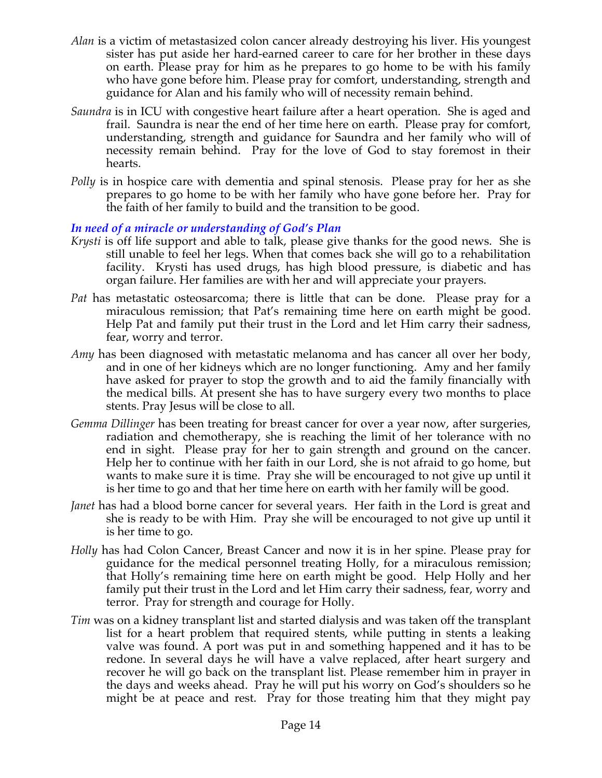- *Alan* is a victim of metastasized colon cancer already destroying his liver. His youngest sister has put aside her hard-earned career to care for her brother in these days on earth. Please pray for him as he prepares to go home to be with his family who have gone before him. Please pray for comfort, understanding, strength and guidance for Alan and his family who will of necessity remain behind.
- *Saundra* is in ICU with congestive heart failure after a heart operation. She is aged and frail. Saundra is near the end of her time here on earth. Please pray for comfort, understanding, strength and guidance for Saundra and her family who will of necessity remain behind. Pray for the love of God to stay foremost in their hearts.
- *Polly* is in hospice care with dementia and spinal stenosis. Please pray for her as she prepares to go home to be with her family who have gone before her. Pray for the faith of her family to build and the transition to be good.

### *In need of a miracle or understanding of God's Plan*

- *Krysti* is off life support and able to talk, please give thanks for the good news. She is still unable to feel her legs. When that comes back she will go to a rehabilitation facility. Krysti has used drugs, has high blood pressure, is diabetic and has organ failure. Her families are with her and will appreciate your prayers.
- *Pat* has metastatic osteosarcoma; there is little that can be done. Please pray for a miraculous remission; that Pat's remaining time here on earth might be good. Help Pat and family put their trust in the Lord and let Him carry their sadness, fear, worry and terror.
- *Amy* has been diagnosed with metastatic melanoma and has cancer all over her body, and in one of her kidneys which are no longer functioning. Amy and her family have asked for prayer to stop the growth and to aid the family financially with the medical bills. At present she has to have surgery every two months to place stents. Pray Jesus will be close to all.
- *Gemma Dillinger* has been treating for breast cancer for over a year now, after surgeries, radiation and chemotherapy, she is reaching the limit of her tolerance with no end in sight. Please pray for her to gain strength and ground on the cancer. Help her to continue with her faith in our Lord, she is not afraid to go home, but wants to make sure it is time. Pray she will be encouraged to not give up until it is her time to go and that her time here on earth with her family will be good.
- *Janet* has had a blood borne cancer for several years. Her faith in the Lord is great and she is ready to be with Him. Pray she will be encouraged to not give up until it is her time to go.
- *Holly* has had Colon Cancer, Breast Cancer and now it is in her spine. Please pray for guidance for the medical personnel treating Holly, for a miraculous remission; that Holly's remaining time here on earth might be good. Help Holly and her family put their trust in the Lord and let Him carry their sadness, fear, worry and terror. Pray for strength and courage for Holly.
- *Tim* was on a kidney transplant list and started dialysis and was taken off the transplant list for a heart problem that required stents, while putting in stents a leaking valve was found. A port was put in and something happened and it has to be redone. In several days he will have a valve replaced, after heart surgery and recover he will go back on the transplant list. Please remember him in prayer in the days and weeks ahead. Pray he will put his worry on God's shoulders so he might be at peace and rest. Pray for those treating him that they might pay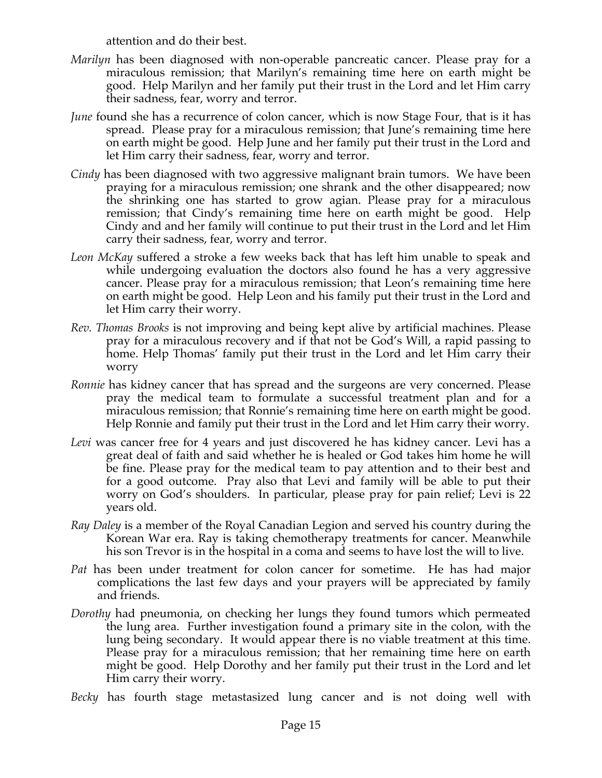attention and do their best.

- *Marilyn* has been diagnosed with non-operable pancreatic cancer. Please pray for a miraculous remission; that Marilyn's remaining time here on earth might be good. Help Marilyn and her family put their trust in the Lord and let Him carry their sadness, fear, worry and terror.
- *June* found she has a recurrence of colon cancer, which is now Stage Four, that is it has spread. Please pray for a miraculous remission; that June's remaining time here on earth might be good. Help June and her family put their trust in the Lord and let Him carry their sadness, fear, worry and terror.
- *Cindy* has been diagnosed with two aggressive malignant brain tumors. We have been praying for a miraculous remission; one shrank and the other disappeared; now the shrinking one has started to grow agian. Please pray for a miraculous remission; that Cindy's remaining time here on earth might be good. Help Cindy and and her family will continue to put their trust in the Lord and let Him carry their sadness, fear, worry and terror.
- *Leon McKay* suffered a stroke a few weeks back that has left him unable to speak and while undergoing evaluation the doctors also found he has a very aggressive cancer. Please pray for a miraculous remission; that Leon's remaining time here on earth might be good. Help Leon and his family put their trust in the Lord and let Him carry their worry.
- *Rev. Thomas Brooks* is not improving and being kept alive by artificial machines. Please pray for a miraculous recovery and if that not be God's Will, a rapid passing to home. Help Thomas' family put their trust in the Lord and let Him carry their worry
- *Ronnie* has kidney cancer that has spread and the surgeons are very concerned. Please pray the medical team to formulate a successful treatment plan and for a miraculous remission; that Ronnie's remaining time here on earth might be good. Help Ronnie and family put their trust in the Lord and let Him carry their worry.
- *Levi* was cancer free for 4 years and just discovered he has kidney cancer. Levi has a great deal of faith and said whether he is healed or God takes him home he will be fine. Please pray for the medical team to pay attention and to their best and for a good outcome. Pray also that Levi and family will be able to put their worry on God's shoulders. In particular, please pray for pain relief; Levi is 22 years old.
- *Ray Daley* is a member of the Royal Canadian Legion and served his country during the Korean War era. Ray is taking chemotherapy treatments for cancer. Meanwhile his son Trevor is in the hospital in a coma and seems to have lost the will to live.
- *Pat* has been under treatment for colon cancer for sometime. He has had major complications the last few days and your prayers will be appreciated by family and friends.
- *Dorothy* had pneumonia, on checking her lungs they found tumors which permeated the lung area. Further investigation found a primary site in the colon, with the lung being secondary. It would appear there is no viable treatment at this time. Please pray for a miraculous remission; that her remaining time here on earth might be good. Help Dorothy and her family put their trust in the Lord and let Him carry their worry.
- *Becky* has fourth stage metastasized lung cancer and is not doing well with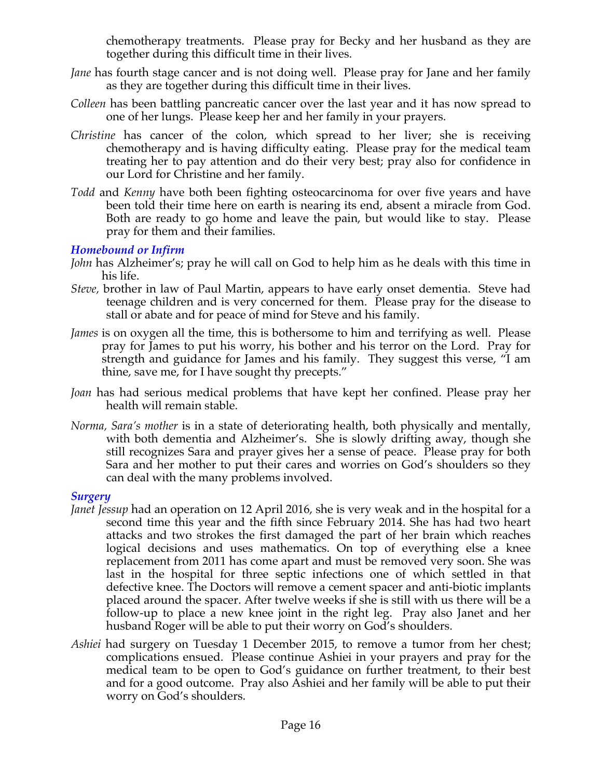chemotherapy treatments. Please pray for Becky and her husband as they are together during this difficult time in their lives.

- *Jane* has fourth stage cancer and is not doing well. Please pray for Jane and her family as they are together during this difficult time in their lives.
- *Colleen* has been battling pancreatic cancer over the last year and it has now spread to one of her lungs. Please keep her and her family in your prayers.
- *Christine* has cancer of the colon, which spread to her liver; she is receiving chemotherapy and is having difficulty eating. Please pray for the medical team treating her to pay attention and do their very best; pray also for confidence in our Lord for Christine and her family.
- *Todd* and *Kenny* have both been fighting osteocarcinoma for over five years and have been told their time here on earth is nearing its end, absent a miracle from God. Both are ready to go home and leave the pain, but would like to stay. Please pray for them and their families.

## *Homebound or Infirm*

- *John* has Alzheimer's; pray he will call on God to help him as he deals with this time in his life.
- *Steve,* brother in law of Paul Martin, appears to have early onset dementia. Steve had teenage children and is very concerned for them. Please pray for the disease to stall or abate and for peace of mind for Steve and his family.
- *James* is on oxygen all the time, this is bothersome to him and terrifying as well. Please pray for James to put his worry, his bother and his terror on the Lord. Pray for strength and guidance for James and his family. They suggest this verse, "I am thine, save me, for I have sought thy precepts."
- *Joan* has had serious medical problems that have kept her confined. Please pray her health will remain stable.
- *Norma, Sara's mother* is in a state of deteriorating health, both physically and mentally, with both dementia and Alzheimer's. She is slowly drifting away, though she still recognizes Sara and prayer gives her a sense of peace. Please pray for both Sara and her mother to put their cares and worries on God's shoulders so they can deal with the many problems involved.

### *Surgery*

- *Janet Jessup* had an operation on 12 April 2016, she is very weak and in the hospital for a second time this year and the fifth since February 2014. She has had two heart attacks and two strokes the first damaged the part of her brain which reaches logical decisions and uses mathematics. On top of everything else a knee replacement from 2011 has come apart and must be removed very soon. She was last in the hospital for three septic infections one of which settled in that defective knee. The Doctors will remove a cement spacer and anti-biotic implants placed around the spacer. After twelve weeks if she is still with us there will be a follow-up to place a new knee joint in the right leg. Pray also Janet and her husband Roger will be able to put their worry on God's shoulders.
- *Ashiei* had surgery on Tuesday 1 December 2015, to remove a tumor from her chest; complications ensued. Please continue Ashiei in your prayers and pray for the medical team to be open to God's guidance on further treatment, to their best and for a good outcome. Pray also Ashiei and her family will be able to put their worry on God's shoulders.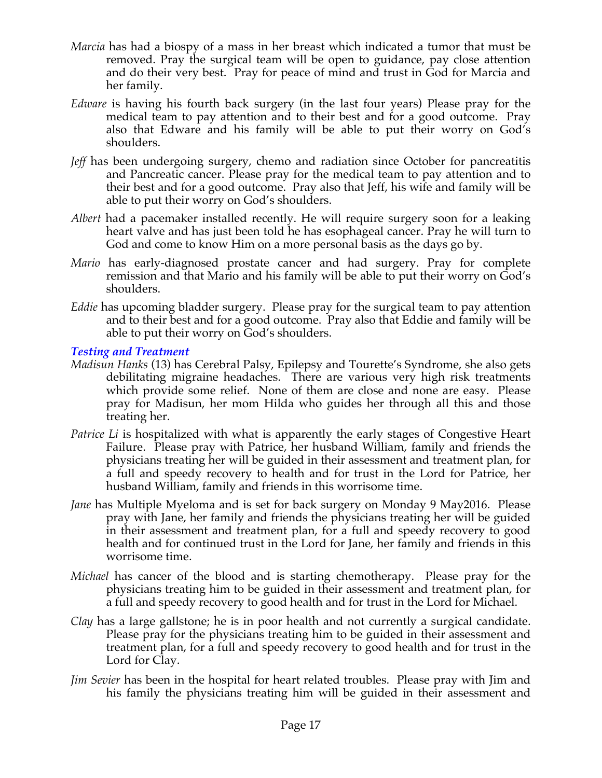- *Marcia* has had a biospy of a mass in her breast which indicated a tumor that must be removed. Pray the surgical team will be open to guidance, pay close attention and do their very best. Pray for peace of mind and trust in God for Marcia and her family.
- *Edware* is having his fourth back surgery (in the last four years) Please pray for the medical team to pay attention and to their best and for a good outcome. Pray also that Edware and his family will be able to put their worry on God's shoulders.
- *Jeff* has been undergoing surgery, chemo and radiation since October for pancreatitis and Pancreatic cancer. Please pray for the medical team to pay attention and to their best and for a good outcome. Pray also that Jeff, his wife and family will be able to put their worry on God's shoulders.
- *Albert* had a pacemaker installed recently. He will require surgery soon for a leaking heart valve and has just been told he has esophageal cancer. Pray he will turn to God and come to know Him on a more personal basis as the days go by.
- *Mario* has early-diagnosed prostate cancer and had surgery. Pray for complete remission and that Mario and his family will be able to put their worry on God's shoulders.
- *Eddie* has upcoming bladder surgery. Please pray for the surgical team to pay attention and to their best and for a good outcome. Pray also that Eddie and family will be able to put their worry on God's shoulders.

### *Testing and Treatment*

- *Madisun Hanks* (13) has Cerebral Palsy, Epilepsy and Tourette's Syndrome, she also gets debilitating migraine headaches. There are various very high risk treatments which provide some relief. None of them are close and none are easy. Please pray for Madisun, her mom Hilda who guides her through all this and those treating her.
- *Patrice Li* is hospitalized with what is apparently the early stages of Congestive Heart Failure. Please pray with Patrice, her husband William, family and friends the physicians treating her will be guided in their assessment and treatment plan, for a full and speedy recovery to health and for trust in the Lord for Patrice, her husband William, family and friends in this worrisome time.
- *Jane* has Multiple Myeloma and is set for back surgery on Monday 9 May2016. Please pray with Jane, her family and friends the physicians treating her will be guided in their assessment and treatment plan, for a full and speedy recovery to good health and for continued trust in the Lord for Jane, her family and friends in this worrisome time.
- *Michael* has cancer of the blood and is starting chemotherapy. Please pray for the physicians treating him to be guided in their assessment and treatment plan, for a full and speedy recovery to good health and for trust in the Lord for Michael.
- *Clay* has a large gallstone; he is in poor health and not currently a surgical candidate. Please pray for the physicians treating him to be guided in their assessment and treatment plan, for a full and speedy recovery to good health and for trust in the Lord for Clay.
- *Jim Sevier* has been in the hospital for heart related troubles. Please pray with Jim and his family the physicians treating him will be guided in their assessment and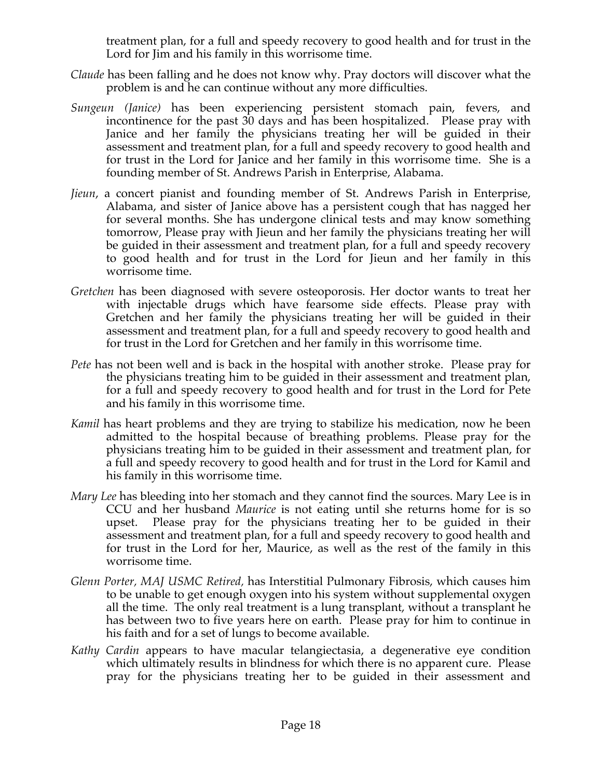treatment plan, for a full and speedy recovery to good health and for trust in the Lord for Jim and his family in this worrisome time.

- *Claude* has been falling and he does not know why. Pray doctors will discover what the problem is and he can continue without any more difficulties.
- *Sungeun (Janice)* has been experiencing persistent stomach pain, fevers, and incontinence for the past 30 days and has been hospitalized. Please pray with Janice and her family the physicians treating her will be guided in their assessment and treatment plan, for a full and speedy recovery to good health and for trust in the Lord for Janice and her family in this worrisome time. She is a founding member of St. Andrews Parish in Enterprise, Alabama.
- *Jieun*, a concert pianist and founding member of St. Andrews Parish in Enterprise, Alabama, and sister of Janice above has a persistent cough that has nagged her for several months. She has undergone clinical tests and may know something tomorrow, Please pray with Jieun and her family the physicians treating her will be guided in their assessment and treatment plan, for a full and speedy recovery to good health and for trust in the Lord for Jieun and her family in this worrisome time.
- *Gretchen* has been diagnosed with severe osteoporosis. Her doctor wants to treat her with injectable drugs which have fearsome side effects. Please pray with Gretchen and her family the physicians treating her will be guided in their assessment and treatment plan, for a full and speedy recovery to good health and for trust in the Lord for Gretchen and her family in this worrisome time.
- *Pete* has not been well and is back in the hospital with another stroke. Please pray for the physicians treating him to be guided in their assessment and treatment plan, for a full and speedy recovery to good health and for trust in the Lord for Pete and his family in this worrisome time.
- *Kamil* has heart problems and they are trying to stabilize his medication, now he been admitted to the hospital because of breathing problems. Please pray for the physicians treating him to be guided in their assessment and treatment plan, for a full and speedy recovery to good health and for trust in the Lord for Kamil and his family in this worrisome time.
- *Mary Lee* has bleeding into her stomach and they cannot find the sources. Mary Lee is in CCU and her husband *Maurice* is not eating until she returns home for is so upset. Please pray for the physicians treating her to be guided in their assessment and treatment plan, for a full and speedy recovery to good health and for trust in the Lord for her, Maurice, as well as the rest of the family in this worrisome time.
- *Glenn Porter, MAJ USMC Retired,* has Interstitial Pulmonary Fibrosis, which causes him to be unable to get enough oxygen into his system without supplemental oxygen all the time. The only real treatment is a lung transplant, without a transplant he has between two to five years here on earth. Please pray for him to continue in his faith and for a set of lungs to become available.
- *Kathy Cardin* appears to have macular telangiectasia, a degenerative eye condition which ultimately results in blindness for which there is no apparent cure. Please pray for the physicians treating her to be guided in their assessment and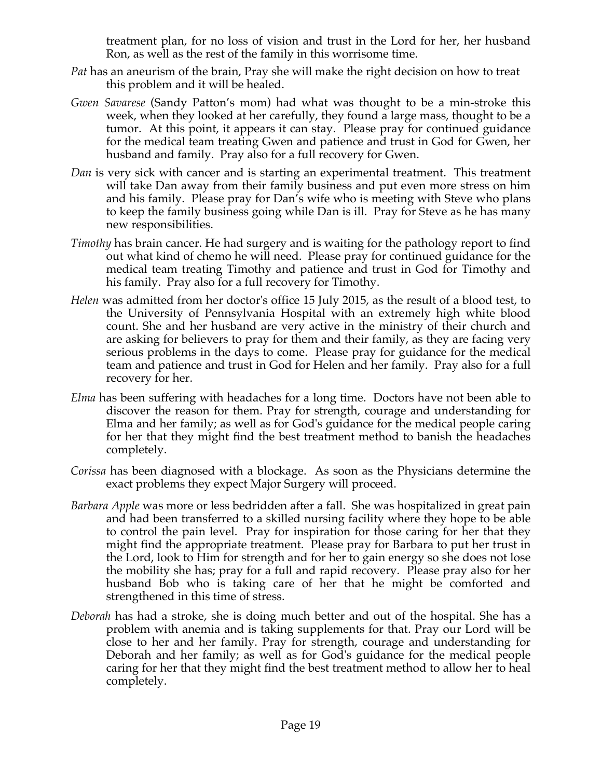treatment plan, for no loss of vision and trust in the Lord for her, her husband Ron, as well as the rest of the family in this worrisome time.

- *Pat* has an aneurism of the brain, Pray she will make the right decision on how to treat this problem and it will be healed.
- *Gwen Savarese* (Sandy Patton's mom) had what was thought to be a min-stroke this week, when they looked at her carefully, they found a large mass, thought to be a tumor. At this point, it appears it can stay. Please pray for continued guidance for the medical team treating Gwen and patience and trust in God for Gwen, her husband and family. Pray also for a full recovery for Gwen.
- *Dan* is very sick with cancer and is starting an experimental treatment. This treatment will take Dan away from their family business and put even more stress on him and his family. Please pray for Dan's wife who is meeting with Steve who plans to keep the family business going while Dan is ill. Pray for Steve as he has many new responsibilities.
- *Timothy* has brain cancer. He had surgery and is waiting for the pathology report to find out what kind of chemo he will need. Please pray for continued guidance for the medical team treating Timothy and patience and trust in God for Timothy and his family. Pray also for a full recovery for Timothy.
- *Helen* was admitted from her doctor's office 15 July 2015, as the result of a blood test, to the University of Pennsylvania Hospital with an extremely high white blood count. She and her husband are very active in the ministry of their church and are asking for believers to pray for them and their family, as they are facing very serious problems in the days to come. Please pray for guidance for the medical team and patience and trust in God for Helen and her family. Pray also for a full recovery for her.
- *Elma* has been suffering with headaches for a long time. Doctors have not been able to discover the reason for them. Pray for strength, courage and understanding for Elma and her family; as well as for God's guidance for the medical people caring for her that they might find the best treatment method to banish the headaches completely.
- *Corissa* has been diagnosed with a blockage. As soon as the Physicians determine the exact problems they expect Major Surgery will proceed.
- *Barbara Apple* was more or less bedridden after a fall. She was hospitalized in great pain and had been transferred to a skilled nursing facility where they hope to be able to control the pain level. Pray for inspiration for those caring for her that they might find the appropriate treatment. Please pray for Barbara to put her trust in the Lord, look to Him for strength and for her to gain energy so she does not lose the mobility she has; pray for a full and rapid recovery. Please pray also for her husband Bob who is taking care of her that he might be comforted and strengthened in this time of stress.
- *Deborah* has had a stroke, she is doing much better and out of the hospital. She has a problem with anemia and is taking supplements for that. Pray our Lord will be close to her and her family. Pray for strength, courage and understanding for Deborah and her family; as well as for God's guidance for the medical people caring for her that they might find the best treatment method to allow her to heal completely.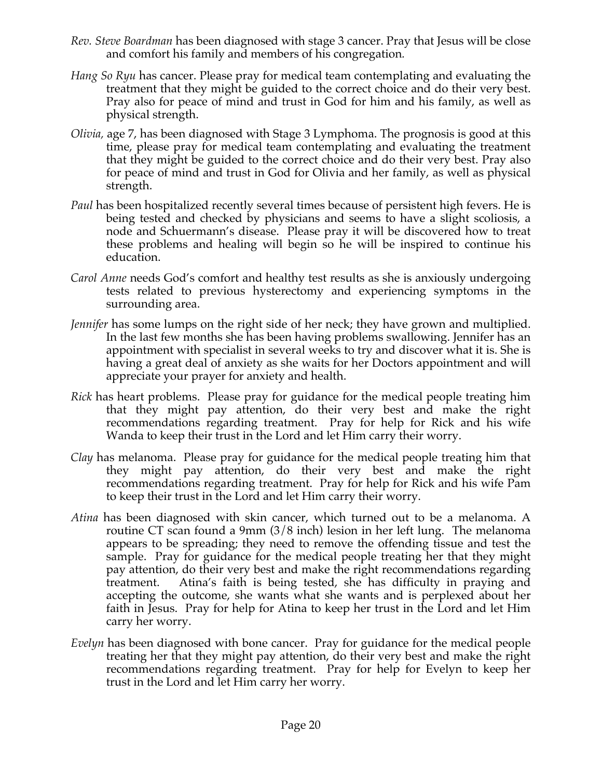- *Rev. Steve Boardman* has been diagnosed with stage 3 cancer. Pray that Jesus will be close and comfort his family and members of his congregation*.*
- *Hang So Ryu* has cancer. Please pray for medical team contemplating and evaluating the treatment that they might be guided to the correct choice and do their very best. Pray also for peace of mind and trust in God for him and his family, as well as physical strength.
- *Olivia,* age 7, has been diagnosed with Stage 3 Lymphoma. The prognosis is good at this time, please pray for medical team contemplating and evaluating the treatment that they might be guided to the correct choice and do their very best. Pray also for peace of mind and trust in God for Olivia and her family, as well as physical strength.
- *Paul* has been hospitalized recently several times because of persistent high fevers. He is being tested and checked by physicians and seems to have a slight scoliosis, a node and Schuermann's disease. Please pray it will be discovered how to treat these problems and healing will begin so he will be inspired to continue his education.
- *Carol Anne* needs God's comfort and healthy test results as she is anxiously undergoing tests related to previous hysterectomy and experiencing symptoms in the surrounding area.
- *Jennifer* has some lumps on the right side of her neck; they have grown and multiplied. In the last few months she has been having problems swallowing. Jennifer has an appointment with specialist in several weeks to try and discover what it is. She is having a great deal of anxiety as she waits for her Doctors appointment and will appreciate your prayer for anxiety and health.
- *Rick* has heart problems. Please pray for guidance for the medical people treating him that they might pay attention, do their very best and make the right recommendations regarding treatment. Pray for help for Rick and his wife Wanda to keep their trust in the Lord and let Him carry their worry.
- *Clay* has melanoma. Please pray for guidance for the medical people treating him that they might pay attention, do their very best and make the right recommendations regarding treatment. Pray for help for Rick and his wife Pam to keep their trust in the Lord and let Him carry their worry.
- *Atina* has been diagnosed with skin cancer, which turned out to be a melanoma. A routine CT scan found a 9mm (3/8 inch) lesion in her left lung. The melanoma appears to be spreading; they need to remove the offending tissue and test the sample. Pray for guidance for the medical people treating her that they might pay attention, do their very best and make the right recommendations regarding treatment. Atina's faith is being tested, she has difficulty in praying and accepting the outcome, she wants what she wants and is perplexed about her faith in Jesus. Pray for help for Atina to keep her trust in the Lord and let Him carry her worry.
- *Evelyn* has been diagnosed with bone cancer. Pray for guidance for the medical people treating her that they might pay attention, do their very best and make the right recommendations regarding treatment. Pray for help for Evelyn to keep her trust in the Lord and let Him carry her worry.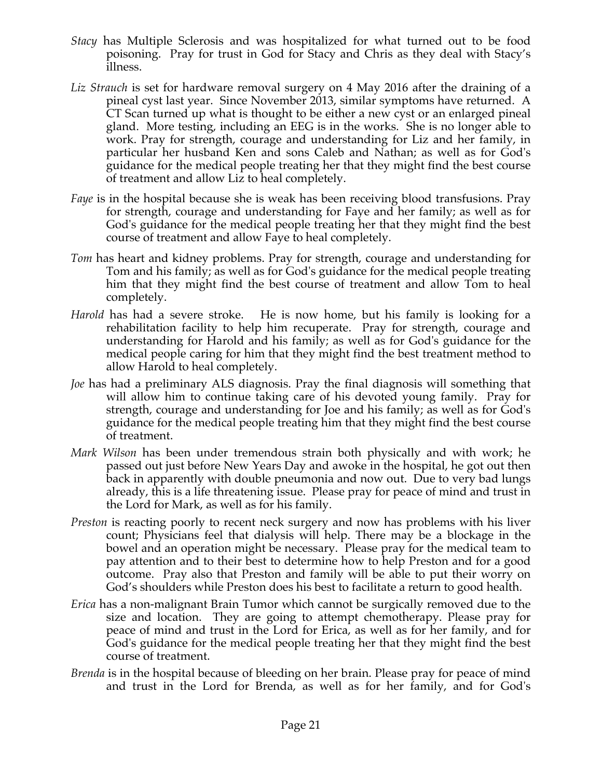- *Stacy* has Multiple Sclerosis and was hospitalized for what turned out to be food poisoning. Pray for trust in God for Stacy and Chris as they deal with Stacy's illness.
- *Liz Strauch* is set for hardware removal surgery on 4 May 2016 after the draining of a pineal cyst last year. Since November 2013, similar symptoms have returned. A CT Scan turned up what is thought to be either a new cyst or an enlarged pineal gland. More testing, including an EEG is in the works. She is no longer able to work. Pray for strength, courage and understanding for Liz and her family, in particular her husband Ken and sons Caleb and Nathan; as well as for God's guidance for the medical people treating her that they might find the best course of treatment and allow Liz to heal completely.
- *Faye* is in the hospital because she is weak has been receiving blood transfusions. Pray for strength, courage and understanding for Faye and her family; as well as for God's guidance for the medical people treating her that they might find the best course of treatment and allow Faye to heal completely.
- *Tom* has heart and kidney problems. Pray for strength, courage and understanding for Tom and his family; as well as for God's guidance for the medical people treating him that they might find the best course of treatment and allow Tom to heal completely.
- *Harold* has had a severe stroke. He is now home, but his family is looking for a rehabilitation facility to help him recuperate. Pray for strength, courage and understanding for Harold and his family; as well as for God's guidance for the medical people caring for him that they might find the best treatment method to allow Harold to heal completely.
- *Joe* has had a preliminary ALS diagnosis. Pray the final diagnosis will something that will allow him to continue taking care of his devoted young family. Pray for strength, courage and understanding for Joe and his family; as well as for God's guidance for the medical people treating him that they might find the best course of treatment.
- *Mark Wilson* has been under tremendous strain both physically and with work; he passed out just before New Years Day and awoke in the hospital, he got out then back in apparently with double pneumonia and now out. Due to very bad lungs already, this is a life threatening issue. Please pray for peace of mind and trust in the Lord for Mark, as well as for his family.
- *Preston* is reacting poorly to recent neck surgery and now has problems with his liver count; Physicians feel that dialysis will help. There may be a blockage in the bowel and an operation might be necessary. Please pray for the medical team to pay attention and to their best to determine how to help Preston and for a good outcome. Pray also that Preston and family will be able to put their worry on God's shoulders while Preston does his best to facilitate a return to good health.
- *Erica* has a non-malignant Brain Tumor which cannot be surgically removed due to the size and location. They are going to attempt chemotherapy. Please pray for peace of mind and trust in the Lord for Erica, as well as for her family, and for God's guidance for the medical people treating her that they might find the best course of treatment.
- *Brenda* is in the hospital because of bleeding on her brain. Please pray for peace of mind and trust in the Lord for Brenda, as well as for her family, and for God's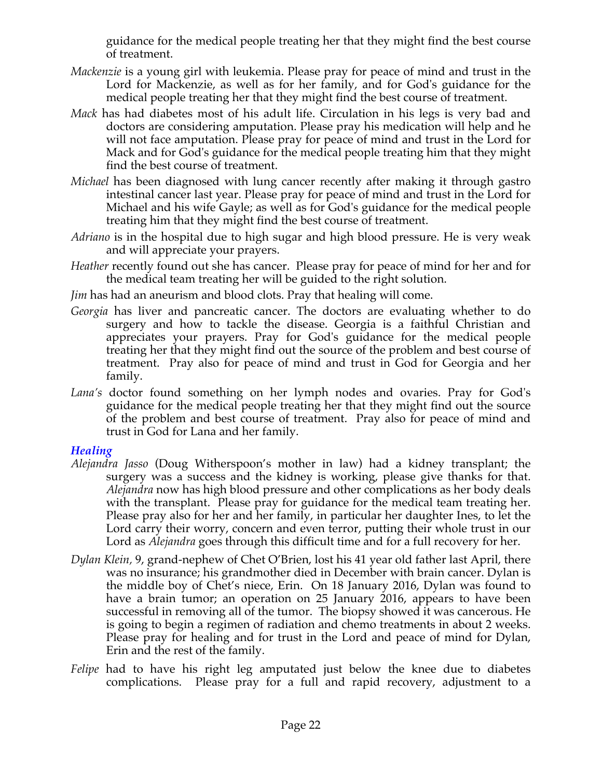guidance for the medical people treating her that they might find the best course of treatment.

- *Mackenzie* is a young girl with leukemia. Please pray for peace of mind and trust in the Lord for Mackenzie, as well as for her family, and for God's guidance for the medical people treating her that they might find the best course of treatment.
- *Mack* has had diabetes most of his adult life. Circulation in his legs is very bad and doctors are considering amputation. Please pray his medication will help and he will not face amputation. Please pray for peace of mind and trust in the Lord for Mack and for God's guidance for the medical people treating him that they might find the best course of treatment.
- *Michael* has been diagnosed with lung cancer recently after making it through gastro intestinal cancer last year. Please pray for peace of mind and trust in the Lord for Michael and his wife Gayle; as well as for God's guidance for the medical people treating him that they might find the best course of treatment.
- *Adriano* is in the hospital due to high sugar and high blood pressure. He is very weak and will appreciate your prayers.
- *Heather* recently found out she has cancer. Please pray for peace of mind for her and for the medical team treating her will be guided to the right solution.
- *Jim* has had an aneurism and blood clots. Pray that healing will come.
- *Georgia* has liver and pancreatic cancer. The doctors are evaluating whether to do surgery and how to tackle the disease. Georgia is a faithful Christian and appreciates your prayers. Pray for God's guidance for the medical people treating her that they might find out the source of the problem and best course of treatment. Pray also for peace of mind and trust in God for Georgia and her family.
- *Lana's* doctor found something on her lymph nodes and ovaries. Pray for God's guidance for the medical people treating her that they might find out the source of the problem and best course of treatment. Pray also for peace of mind and trust in God for Lana and her family.

## *Healing*

- *Alejandra Jasso* (Doug Witherspoon's mother in law) had a kidney transplant; the surgery was a success and the kidney is working, please give thanks for that. *Alejandra* now has high blood pressure and other complications as her body deals with the transplant. Please pray for guidance for the medical team treating her. Please pray also for her and her family, in particular her daughter Ines, to let the Lord carry their worry, concern and even terror, putting their whole trust in our Lord as *Alejandra* goes through this difficult time and for a full recovery for her.
- *Dylan Klein,* 9, grand-nephew of Chet O'Brien, lost his 41 year old father last April, there was no insurance; his grandmother died in December with brain cancer. Dylan is the middle boy of Chet's niece, Erin. On 18 January 2016, Dylan was found to have a brain tumor; an operation on 25 January 2016, appears to have been successful in removing all of the tumor. The biopsy showed it was cancerous. He is going to begin a regimen of radiation and chemo treatments in about 2 weeks. Please pray for healing and for trust in the Lord and peace of mind for Dylan, Erin and the rest of the family.
- *Felipe* had to have his right leg amputated just below the knee due to diabetes complications. Please pray for a full and rapid recovery, adjustment to a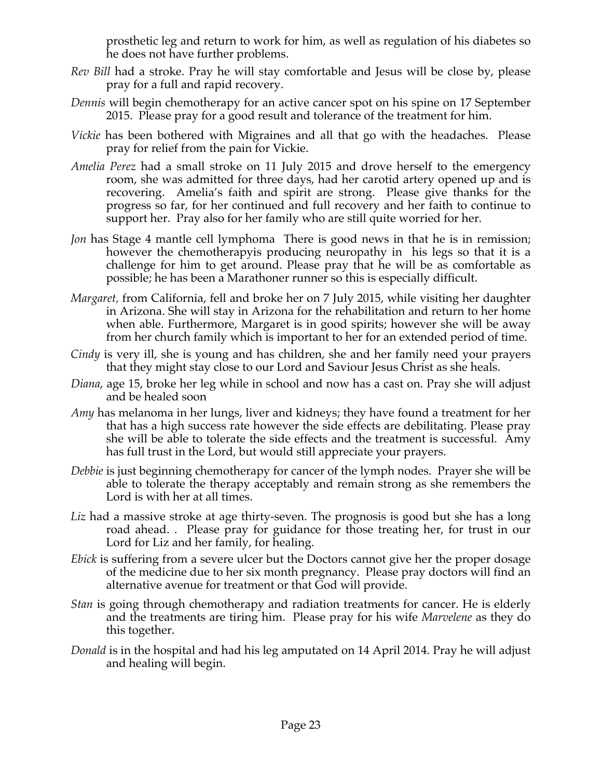prosthetic leg and return to work for him, as well as regulation of his diabetes so he does not have further problems.

- *Rev Bill* had a stroke. Pray he will stay comfortable and Jesus will be close by, please pray for a full and rapid recovery.
- *Dennis* will begin chemotherapy for an active cancer spot on his spine on 17 September 2015. Please pray for a good result and tolerance of the treatment for him.
- *Vickie* has been bothered with Migraines and all that go with the headaches. Please pray for relief from the pain for Vickie.
- *Amelia Perez* had a small stroke on 11 July 2015 and drove herself to the emergency room, she was admitted for three days, had her carotid artery opened up and is recovering. Amelia's faith and spirit are strong. Please give thanks for the progress so far, for her continued and full recovery and her faith to continue to support her. Pray also for her family who are still quite worried for her.
- *Jon* has Stage 4 mantle cell lymphoma There is good news in that he is in remission; however the chemotherapyis producing neuropathy in his legs so that it is a challenge for him to get around. Please pray that he will be as comfortable as possible; he has been a Marathoner runner so this is especially difficult.
- *Margaret,* from California, fell and broke her on 7 July 2015, while visiting her daughter in Arizona. She will stay in Arizona for the rehabilitation and return to her home when able. Furthermore, Margaret is in good spirits; however she will be away from her church family which is important to her for an extended period of time.
- *Cindy* is very ill, she is young and has children, she and her family need your prayers that they might stay close to our Lord and Saviour Jesus Christ as she heals.
- *Diana*, age 15, broke her leg while in school and now has a cast on. Pray she will adjust and be healed soon
- *Amy* has melanoma in her lungs, liver and kidneys; they have found a treatment for her that has a high success rate however the side effects are debilitating. Please pray she will be able to tolerate the side effects and the treatment is successful. Amy has full trust in the Lord, but would still appreciate your prayers.
- *Debbie* is just beginning chemotherapy for cancer of the lymph nodes. Prayer she will be able to tolerate the therapy acceptably and remain strong as she remembers the Lord is with her at all times.
- Liz had a massive stroke at age thirty-seven. The prognosis is good but she has a long road ahead. . Please pray for guidance for those treating her, for trust in our Lord for Liz and her family, for healing.
- *Ebick* is suffering from a severe ulcer but the Doctors cannot give her the proper dosage of the medicine due to her six month pregnancy. Please pray doctors will find an alternative avenue for treatment or that God will provide.
- *Stan* is going through chemotherapy and radiation treatments for cancer. He is elderly and the treatments are tiring him. Please pray for his wife *Marvelene* as they do this together.
- *Donald* is in the hospital and had his leg amputated on 14 April 2014. Pray he will adjust and healing will begin.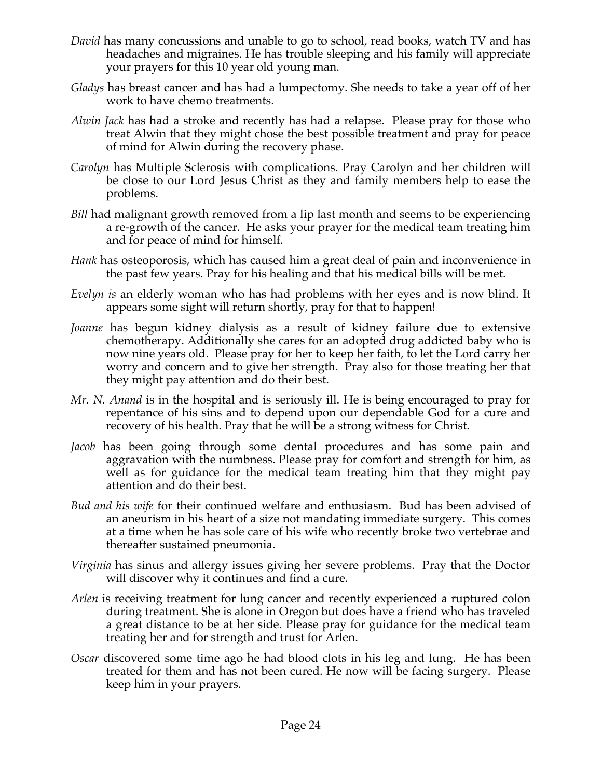- *David* has many concussions and unable to go to school, read books, watch TV and has headaches and migraines. He has trouble sleeping and his family will appreciate your prayers for this 10 year old young man.
- *Gladys* has breast cancer and has had a lumpectomy. She needs to take a year off of her work to have chemo treatments.
- *Alwin Jack* has had a stroke and recently has had a relapse. Please pray for those who treat Alwin that they might chose the best possible treatment and pray for peace of mind for Alwin during the recovery phase.
- *Carolyn* has Multiple Sclerosis with complications. Pray Carolyn and her children will be close to our Lord Jesus Christ as they and family members help to ease the problems.
- *Bill* had malignant growth removed from a lip last month and seems to be experiencing a re-growth of the cancer. He asks your prayer for the medical team treating him and for peace of mind for himself.
- *Hank* has osteoporosis, which has caused him a great deal of pain and inconvenience in the past few years. Pray for his healing and that his medical bills will be met.
- *Evelyn is* an elderly woman who has had problems with her eyes and is now blind. It appears some sight will return shortly, pray for that to happen!
- *Joanne* has begun kidney dialysis as a result of kidney failure due to extensive chemotherapy. Additionally she cares for an adopted drug addicted baby who is now nine years old. Please pray for her to keep her faith, to let the Lord carry her worry and concern and to give her strength. Pray also for those treating her that they might pay attention and do their best.
- *Mr. N. Anand* is in the hospital and is seriously ill. He is being encouraged to pray for repentance of his sins and to depend upon our dependable God for a cure and recovery of his health. Pray that he will be a strong witness for Christ.
- *Jacob* has been going through some dental procedures and has some pain and aggravation with the numbness. Please pray for comfort and strength for him, as well as for guidance for the medical team treating him that they might pay attention and do their best.
- *Bud and his wife* for their continued welfare and enthusiasm. Bud has been advised of an aneurism in his heart of a size not mandating immediate surgery. This comes at a time when he has sole care of his wife who recently broke two vertebrae and thereafter sustained pneumonia.
- *Virginia* has sinus and allergy issues giving her severe problems. Pray that the Doctor will discover why it continues and find a cure.
- *Arlen* is receiving treatment for lung cancer and recently experienced a ruptured colon during treatment. She is alone in Oregon but does have a friend who has traveled a great distance to be at her side. Please pray for guidance for the medical team treating her and for strength and trust for Arlen.
- *Oscar* discovered some time ago he had blood clots in his leg and lung. He has been treated for them and has not been cured. He now will be facing surgery. Please keep him in your prayers.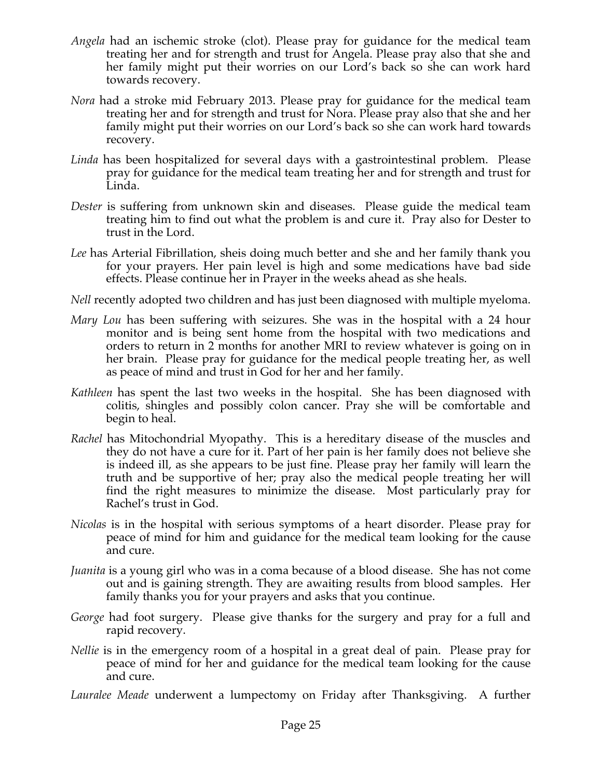- *Angela* had an ischemic stroke (clot). Please pray for guidance for the medical team treating her and for strength and trust for Angela. Please pray also that she and her family might put their worries on our Lord's back so she can work hard towards recovery.
- *Nora* had a stroke mid February 2013. Please pray for guidance for the medical team treating her and for strength and trust for Nora. Please pray also that she and her family might put their worries on our Lord's back so she can work hard towards recovery.
- *Linda* has been hospitalized for several days with a gastrointestinal problem. Please pray for guidance for the medical team treating her and for strength and trust for Linda.
- *Dester* is suffering from unknown skin and diseases. Please guide the medical team treating him to find out what the problem is and cure it. Pray also for Dester to trust in the Lord.
- *Lee* has Arterial Fibrillation, sheis doing much better and she and her family thank you for your prayers. Her pain level is high and some medications have bad side effects. Please continue her in Prayer in the weeks ahead as she heals.
- *Nell* recently adopted two children and has just been diagnosed with multiple myeloma.
- *Mary Lou* has been suffering with seizures. She was in the hospital with a 24 hour monitor and is being sent home from the hospital with two medications and orders to return in 2 months for another MRI to review whatever is going on in her brain. Please pray for guidance for the medical people treating her, as well as peace of mind and trust in God for her and her family.
- *Kathleen* has spent the last two weeks in the hospital. She has been diagnosed with colitis, shingles and possibly colon cancer. Pray she will be comfortable and begin to heal.
- *Rachel* has Mitochondrial Myopathy. This is a hereditary disease of the muscles and they do not have a cure for it. Part of her pain is her family does not believe she is indeed ill, as she appears to be just fine. Please pray her family will learn the truth and be supportive of her; pray also the medical people treating her will find the right measures to minimize the disease. Most particularly pray for Rachel's trust in God.
- *Nicolas* is in the hospital with serious symptoms of a heart disorder. Please pray for peace of mind for him and guidance for the medical team looking for the cause and cure.
- *Juanita* is a young girl who was in a coma because of a blood disease. She has not come out and is gaining strength. They are awaiting results from blood samples. Her family thanks you for your prayers and asks that you continue.
- *George* had foot surgery. Please give thanks for the surgery and pray for a full and rapid recovery.
- *Nellie* is in the emergency room of a hospital in a great deal of pain. Please pray for peace of mind for her and guidance for the medical team looking for the cause and cure.
- *Lauralee Meade* underwent a lumpectomy on Friday after Thanksgiving. A further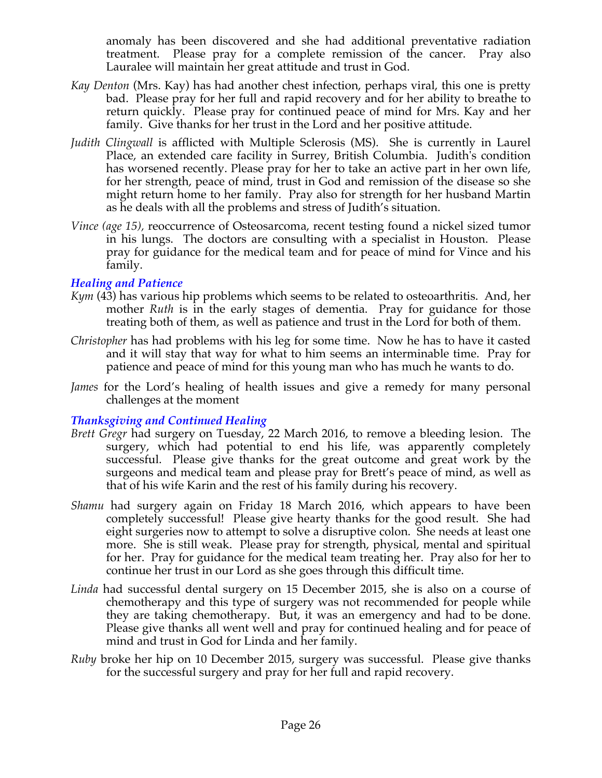anomaly has been discovered and she had additional preventative radiation treatment. Please pray for a complete remission of the cancer. Pray also Lauralee will maintain her great attitude and trust in God.

- *Kay Denton* (Mrs. Kay) has had another chest infection, perhaps viral, this one is pretty bad. Please pray for her full and rapid recovery and for her ability to breathe to return quickly. Please pray for continued peace of mind for Mrs. Kay and her family. Give thanks for her trust in the Lord and her positive attitude.
- *Judith Clingwall* is afflicted with Multiple Sclerosis (MS). She is currently in Laurel Place, an extended care facility in Surrey, British Columbia. Judith's condition has worsened recently. Please pray for her to take an active part in her own life, for her strength, peace of mind, trust in God and remission of the disease so she might return home to her family. Pray also for strength for her husband Martin as he deals with all the problems and stress of Judith's situation.
- *Vince (age 15),* reoccurrence of Osteosarcoma, recent testing found a nickel sized tumor in his lungs. The doctors are consulting with a specialist in Houston. Please pray for guidance for the medical team and for peace of mind for Vince and his family.

## *Healing and Patience*

- *Kym* (43) has various hip problems which seems to be related to osteoarthritis. And, her mother *Ruth* is in the early stages of dementia. Pray for guidance for those treating both of them, as well as patience and trust in the Lord for both of them.
- *Christopher* has had problems with his leg for some time. Now he has to have it casted and it will stay that way for what to him seems an interminable time. Pray for patience and peace of mind for this young man who has much he wants to do.
- *James* for the Lord's healing of health issues and give a remedy for many personal challenges at the moment

## *Thanksgiving and Continued Healing*

- *Brett Gregr* had surgery on Tuesday, 22 March 2016, to remove a bleeding lesion. The surgery, which had potential to end his life, was apparently completely successful. Please give thanks for the great outcome and great work by the surgeons and medical team and please pray for Brett's peace of mind, as well as that of his wife Karin and the rest of his family during his recovery.
- *Shamu* had surgery again on Friday 18 March 2016, which appears to have been completely successful! Please give hearty thanks for the good result. She had eight surgeries now to attempt to solve a disruptive colon. She needs at least one more. She is still weak. Please pray for strength, physical, mental and spiritual for her. Pray for guidance for the medical team treating her. Pray also for her to continue her trust in our Lord as she goes through this difficult time.
- *Linda* had successful dental surgery on 15 December 2015, she is also on a course of chemotherapy and this type of surgery was not recommended for people while they are taking chemotherapy. But, it was an emergency and had to be done. Please give thanks all went well and pray for continued healing and for peace of mind and trust in God for Linda and her family.
- *Ruby* broke her hip on 10 December 2015, surgery was successful. Please give thanks for the successful surgery and pray for her full and rapid recovery.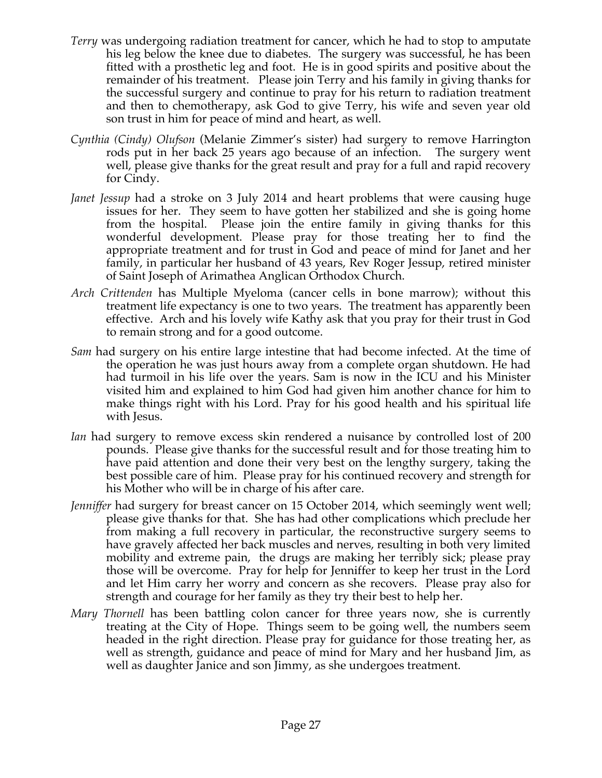- *Terry* was undergoing radiation treatment for cancer, which he had to stop to amputate his leg below the knee due to diabetes. The surgery was successful, he has been fitted with a prosthetic leg and foot. He is in good spirits and positive about the remainder of his treatment. Please join Terry and his family in giving thanks for the successful surgery and continue to pray for his return to radiation treatment and then to chemotherapy, ask God to give Terry, his wife and seven year old son trust in him for peace of mind and heart, as well.
- *Cynthia (Cindy) Olufson* (Melanie Zimmer's sister) had surgery to remove Harrington rods put in her back 25 years ago because of an infection. The surgery went well, please give thanks for the great result and pray for a full and rapid recovery for Cindy.
- *Janet Jessup* had a stroke on 3 July 2014 and heart problems that were causing huge issues for her. They seem to have gotten her stabilized and she is going home from the hospital. Please join the entire family in giving thanks for this wonderful development. Please pray for those treating her to find the appropriate treatment and for trust in God and peace of mind for Janet and her family, in particular her husband of 43 years, Rev Roger Jessup, retired minister of Saint Joseph of Arimathea Anglican Orthodox Church.
- *Arch Crittenden* has Multiple Myeloma (cancer cells in bone marrow); without this treatment life expectancy is one to two years. The treatment has apparently been effective. Arch and his lovely wife Kathy ask that you pray for their trust in God to remain strong and for a good outcome.
- *Sam* had surgery on his entire large intestine that had become infected. At the time of the operation he was just hours away from a complete organ shutdown. He had had turmoil in his life over the years. Sam is now in the ICU and his Minister visited him and explained to him God had given him another chance for him to make things right with his Lord. Pray for his good health and his spiritual life with Jesus.
- *Ian* had surgery to remove excess skin rendered a nuisance by controlled lost of 200 pounds. Please give thanks for the successful result and for those treating him to have paid attention and done their very best on the lengthy surgery, taking the best possible care of him. Please pray for his continued recovery and strength for his Mother who will be in charge of his after care.
- *Jenniffer* had surgery for breast cancer on 15 October 2014, which seemingly went well; please give thanks for that. She has had other complications which preclude her from making a full recovery in particular, the reconstructive surgery seems to have gravely affected her back muscles and nerves, resulting in both very limited mobility and extreme pain, the drugs are making her terribly sick; please pray those will be overcome. Pray for help for Jenniffer to keep her trust in the Lord and let Him carry her worry and concern as she recovers. Please pray also for strength and courage for her family as they try their best to help her.
- *Mary Thornell* has been battling colon cancer for three years now, she is currently treating at the City of Hope. Things seem to be going well, the numbers seem headed in the right direction. Please pray for guidance for those treating her, as well as strength, guidance and peace of mind for Mary and her husband Jim, as well as daughter Janice and son Jimmy, as she undergoes treatment.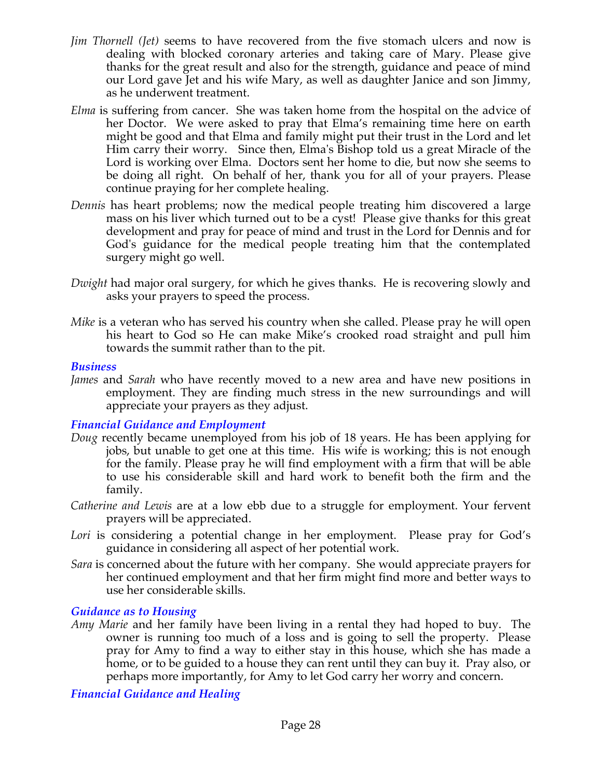- *Jim Thornell (Jet)* seems to have recovered from the five stomach ulcers and now is dealing with blocked coronary arteries and taking care of Mary. Please give thanks for the great result and also for the strength, guidance and peace of mind our Lord gave Jet and his wife Mary, as well as daughter Janice and son Jimmy, as he underwent treatment.
- *Elma* is suffering from cancer. She was taken home from the hospital on the advice of her Doctor. We were asked to pray that Elma's remaining time here on earth might be good and that Elma and family might put their trust in the Lord and let Him carry their worry. Since then, Elma's Bishop told us a great Miracle of the Lord is working over Elma. Doctors sent her home to die, but now she seems to be doing all right. On behalf of her, thank you for all of your prayers. Please continue praying for her complete healing.
- *Dennis* has heart problems; now the medical people treating him discovered a large mass on his liver which turned out to be a cyst! Please give thanks for this great development and pray for peace of mind and trust in the Lord for Dennis and for God's guidance for the medical people treating him that the contemplated surgery might go well.
- *Dwight* had major oral surgery, for which he gives thanks. He is recovering slowly and asks your prayers to speed the process.
- *Mike* is a veteran who has served his country when she called. Please pray he will open his heart to God so He can make Mike's crooked road straight and pull him towards the summit rather than to the pit.

#### *Business*

*James* and *Sarah* who have recently moved to a new area and have new positions in employment. They are finding much stress in the new surroundings and will appreciate your prayers as they adjust.

### *Financial Guidance and Employment*

- *Doug* recently became unemployed from his job of 18 years. He has been applying for jobs, but unable to get one at this time. His wife is working; this is not enough for the family. Please pray he will find employment with a firm that will be able to use his considerable skill and hard work to benefit both the firm and the family.
- *Catherine and Lewis* are at a low ebb due to a struggle for employment. Your fervent prayers will be appreciated.
- Lori is considering a potential change in her employment. Please pray for God's guidance in considering all aspect of her potential work.
- *Sara* is concerned about the future with her company. She would appreciate prayers for her continued employment and that her firm might find more and better ways to use her considerable skills.

#### *Guidance as to Housing*

*Amy Marie* and her family have been living in a rental they had hoped to buy. The owner is running too much of a loss and is going to sell the property. Please pray for Amy to find a way to either stay in this house, which she has made a home, or to be guided to a house they can rent until they can buy it. Pray also, or perhaps more importantly, for Amy to let God carry her worry and concern.

*Financial Guidance and Healing*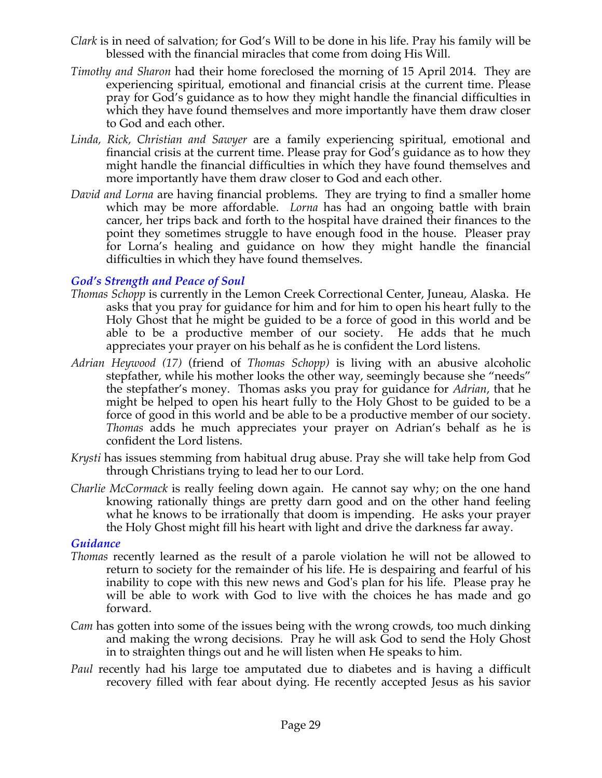- *Clark* is in need of salvation; for God's Will to be done in his life. Pray his family will be blessed with the financial miracles that come from doing His Will.
- *Timothy and Sharon* had their home foreclosed the morning of 15 April 2014. They are experiencing spiritual, emotional and financial crisis at the current time. Please pray for God's guidance as to how they might handle the financial difficulties in which they have found themselves and more importantly have them draw closer to God and each other.
- *Linda, Rick, Christian and Sawyer* are a family experiencing spiritual, emotional and financial crisis at the current time. Please pray for God's guidance as to how they might handle the financial difficulties in which they have found themselves and more importantly have them draw closer to God and each other.
- *David and Lorna* are having financial problems. They are trying to find a smaller home which may be more affordable. *Lorna* has had an ongoing battle with brain cancer, her trips back and forth to the hospital have drained their finances to the point they sometimes struggle to have enough food in the house. Pleaser pray for Lorna's healing and guidance on how they might handle the financial difficulties in which they have found themselves.

## *God's Strength and Peace of Soul*

- *Thomas Schopp* is currently in the Lemon Creek Correctional Center, Juneau, Alaska. He asks that you pray for guidance for him and for him to open his heart fully to the Holy Ghost that he might be guided to be a force of good in this world and be able to be a productive member of our society. He adds that he much appreciates your prayer on his behalf as he is confident the Lord listens.
- *Adrian Heywood (17)* (friend of *Thomas Schopp)* is living with an abusive alcoholic stepfather, while his mother looks the other way, seemingly because she "needs" the stepfather's money. Thomas asks you pray for guidance for *Adrian*, that he might be helped to open his heart fully to the Holy Ghost to be guided to be a force of good in this world and be able to be a productive member of our society. *Thomas* adds he much appreciates your prayer on Adrian's behalf as he is confident the Lord listens.
- *Krysti* has issues stemming from habitual drug abuse. Pray she will take help from God through Christians trying to lead her to our Lord.
- *Charlie McCormack* is really feeling down again. He cannot say why; on the one hand knowing rationally things are pretty darn good and on the other hand feeling what he knows to be irrationally that doom is impending. He asks your prayer the Holy Ghost might fill his heart with light and drive the darkness far away.

### *Guidance*

- *Thomas* recently learned as the result of a parole violation he will not be allowed to return to society for the remainder of his life. He is despairing and fearful of his inability to cope with this new news and God's plan for his life. Please pray he will be able to work with God to live with the choices he has made and go forward.
- *Cam* has gotten into some of the issues being with the wrong crowds, too much dinking and making the wrong decisions. Pray he will ask God to send the Holy Ghost in to straighten things out and he will listen when He speaks to him.
- *Paul* recently had his large toe amputated due to diabetes and is having a difficult recovery filled with fear about dying. He recently accepted Jesus as his savior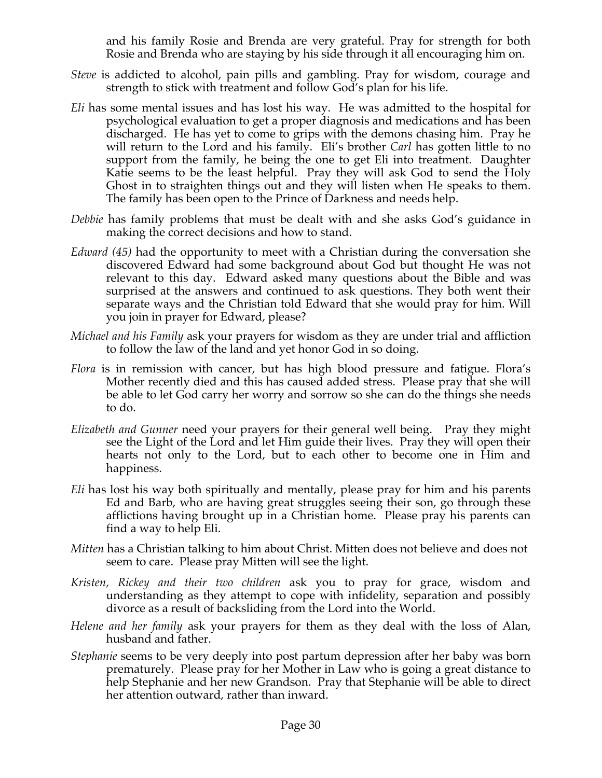and his family Rosie and Brenda are very grateful. Pray for strength for both Rosie and Brenda who are staying by his side through it all encouraging him on.

- *Steve* is addicted to alcohol, pain pills and gambling. Pray for wisdom, courage and strength to stick with treatment and follow God's plan for his life.
- *Eli* has some mental issues and has lost his way. He was admitted to the hospital for psychological evaluation to get a proper diagnosis and medications and has been discharged. He has yet to come to grips with the demons chasing him. Pray he will return to the Lord and his family. Eli's brother *Carl* has gotten little to no support from the family, he being the one to get Eli into treatment. Daughter Katie seems to be the least helpful. Pray they will ask God to send the Holy Ghost in to straighten things out and they will listen when He speaks to them. The family has been open to the Prince of Darkness and needs help.
- *Debbie* has family problems that must be dealt with and she asks God's guidance in making the correct decisions and how to stand.
- *Edward (45)* had the opportunity to meet with a Christian during the conversation she discovered Edward had some background about God but thought He was not relevant to this day. Edward asked many questions about the Bible and was surprised at the answers and continued to ask questions. They both went their separate ways and the Christian told Edward that she would pray for him. Will you join in prayer for Edward, please?
- *Michael and his Family* ask your prayers for wisdom as they are under trial and affliction to follow the law of the land and yet honor God in so doing.
- *Flora* is in remission with cancer, but has high blood pressure and fatigue. Flora's Mother recently died and this has caused added stress. Please pray that she will be able to let God carry her worry and sorrow so she can do the things she needs to do.
- *Elizabeth and Gunner* need your prayers for their general well being. Pray they might see the Light of the Lord and let Him guide their lives. Pray they will open their hearts not only to the Lord, but to each other to become one in Him and happiness.
- *Eli* has lost his way both spiritually and mentally, please pray for him and his parents Ed and Barb, who are having great struggles seeing their son, go through these afflictions having brought up in a Christian home. Please pray his parents can find a way to help Eli.
- *Mitten* has a Christian talking to him about Christ. Mitten does not believe and does not seem to care. Please pray Mitten will see the light.
- *Kristen, Rickey and their two children* ask you to pray for grace, wisdom and understanding as they attempt to cope with infidelity, separation and possibly divorce as a result of backsliding from the Lord into the World.
- *Helene and her family* ask your prayers for them as they deal with the loss of Alan, husband and father.
- *Stephanie* seems to be very deeply into post partum depression after her baby was born prematurely. Please pray for her Mother in Law who is going a great distance to help Stephanie and her new Grandson. Pray that Stephanie will be able to direct her attention outward, rather than inward.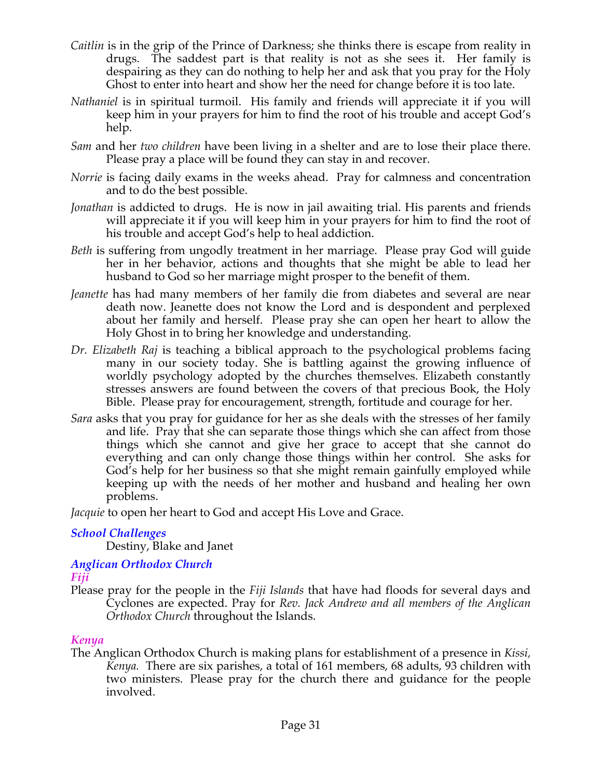- *Caitlin* is in the grip of the Prince of Darkness; she thinks there is escape from reality in drugs. The saddest part is that reality is not as she sees it. Her family is despairing as they can do nothing to help her and ask that you pray for the Holy Ghost to enter into heart and show her the need for change before it is too late.
- *Nathaniel* is in spiritual turmoil. His family and friends will appreciate it if you will keep him in your prayers for him to find the root of his trouble and accept God's help.
- *Sam* and her *two children* have been living in a shelter and are to lose their place there. Please pray a place will be found they can stay in and recover.
- *Norrie* is facing daily exams in the weeks ahead. Pray for calmness and concentration and to do the best possible.
- *Jonathan* is addicted to drugs. He is now in jail awaiting trial. His parents and friends will appreciate it if you will keep him in your prayers for him to find the root of his trouble and accept God's help to heal addiction.
- *Beth* is suffering from ungodly treatment in her marriage. Please pray God will guide her in her behavior, actions and thoughts that she might be able to lead her husband to God so her marriage might prosper to the benefit of them.
- *Jeanette* has had many members of her family die from diabetes and several are near death now. Jeanette does not know the Lord and is despondent and perplexed about her family and herself. Please pray she can open her heart to allow the Holy Ghost in to bring her knowledge and understanding.
- *Dr. Elizabeth Raj* is teaching a biblical approach to the psychological problems facing many in our society today. She is battling against the growing influence of worldly psychology adopted by the churches themselves. Elizabeth constantly stresses answers are found between the covers of that precious Book, the Holy Bible. Please pray for encouragement, strength, fortitude and courage for her.
- *Sara* asks that you pray for guidance for her as she deals with the stresses of her family and life. Pray that she can separate those things which she can affect from those things which she cannot and give her grace to accept that she cannot do everything and can only change those things within her control. She asks for God's help for her business so that she might remain gainfully employed while keeping up with the needs of her mother and husband and healing her own problems.

*Jacquie* to open her heart to God and accept His Love and Grace.

## *School Challenges*

Destiny, Blake and Janet

#### *Anglican Orthodox Church Fiji*

Please pray for the people in the *Fiji Islands* that have had floods for several days and Cyclones are expected. Pray for *Rev. Jack Andrew and all members of the Anglican Orthodox Church* throughout the Islands.

### *Kenya*

The Anglican Orthodox Church is making plans for establishment of a presence in *Kissi, Kenya.* There are six parishes, a total of 161 members, 68 adults, 93 children with two ministers. Please pray for the church there and guidance for the people involved.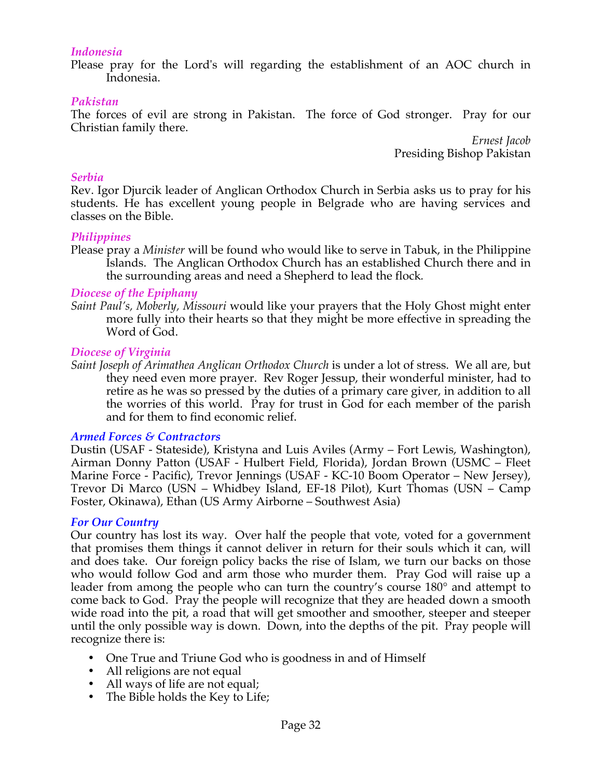#### *Indonesia*

Please pray for the Lord's will regarding the establishment of an AOC church in Indonesia.

#### *Pakistan*

The forces of evil are strong in Pakistan. The force of God stronger. Pray for our Christian family there.

> *Ernest Jacob* Presiding Bishop Pakistan

#### *Serbia*

Rev. Igor Djurcik leader of Anglican Orthodox Church in Serbia asks us to pray for his students. He has excellent young people in Belgrade who are having services and classes on the Bible.

#### *Philippines*

Please pray a *Minister* will be found who would like to serve in Tabuk, in the Philippine Islands. The Anglican Orthodox Church has an established Church there and in the surrounding areas and need a Shepherd to lead the flock*.*

#### *Diocese of the Epiphany*

*Saint Paul's, Moberly, Missouri* would like your prayers that the Holy Ghost might enter more fully into their hearts so that they might be more effective in spreading the Word of God.

#### *Diocese of Virginia*

*Saint Joseph of Arimathea Anglican Orthodox Church* is under a lot of stress. We all are, but they need even more prayer. Rev Roger Jessup, their wonderful minister, had to retire as he was so pressed by the duties of a primary care giver, in addition to all the worries of this world. Pray for trust in God for each member of the parish and for them to find economic relief.

### *Armed Forces & Contractors*

Dustin (USAF - Stateside), Kristyna and Luis Aviles (Army – Fort Lewis, Washington), Airman Donny Patton (USAF - Hulbert Field, Florida), Jordan Brown (USMC – Fleet Marine Force - Pacific), Trevor Jennings (USAF - KC-10 Boom Operator – New Jersey), Trevor Di Marco (USN – Whidbey Island, EF-18 Pilot), Kurt Thomas (USN – Camp Foster, Okinawa), Ethan (US Army Airborne – Southwest Asia)

#### *For Our Country*

Our country has lost its way. Over half the people that vote, voted for a government that promises them things it cannot deliver in return for their souls which it can, will and does take. Our foreign policy backs the rise of Islam, we turn our backs on those who would follow God and arm those who murder them. Pray God will raise up a leader from among the people who can turn the country's course 180° and attempt to come back to God. Pray the people will recognize that they are headed down a smooth wide road into the pit, a road that will get smoother and smoother, steeper and steeper until the only possible way is down. Down, into the depths of the pit. Pray people will recognize there is:

- One True and Triune God who is goodness in and of Himself
- All religions are not equal
- All ways of life are not equal;
- The Bible holds the Key to Life;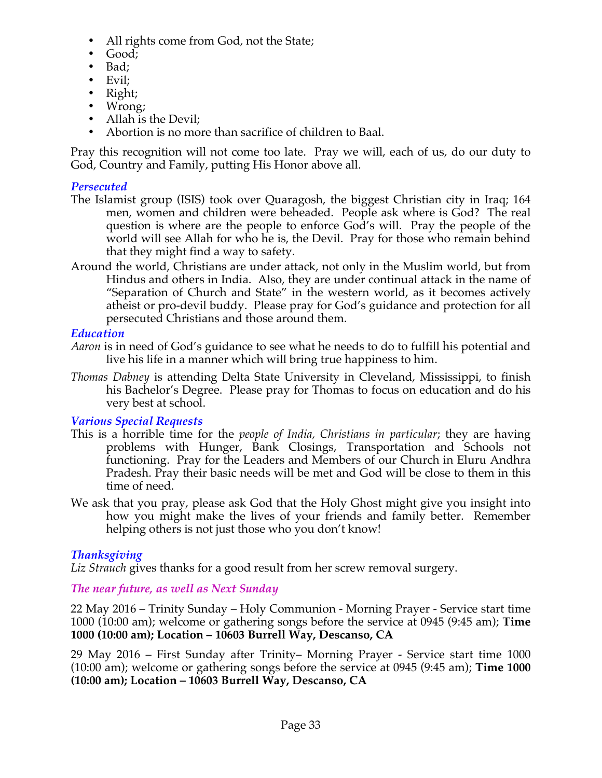- All rights come from God, not the State;
- Good;
- Bad;
- Evil;
- Right;
- Wrong;
- Allah is the Devil;
- Abortion is no more than sacrifice of children to Baal.

Pray this recognition will not come too late. Pray we will, each of us, do our duty to God, Country and Family, putting His Honor above all.

## *Persecuted*

- The Islamist group (ISIS) took over Quaragosh, the biggest Christian city in Iraq; 164 men, women and children were beheaded. People ask where is God? The real question is where are the people to enforce God's will. Pray the people of the world will see Allah for who he is, the Devil. Pray for those who remain behind that they might find a way to safety.
- Around the world, Christians are under attack, not only in the Muslim world, but from Hindus and others in India. Also, they are under continual attack in the name of "Separation of Church and State" in the western world, as it becomes actively atheist or pro-devil buddy. Please pray for God's guidance and protection for all persecuted Christians and those around them.

## *Education*

- *Aaron* is in need of God's guidance to see what he needs to do to fulfill his potential and live his life in a manner which will bring true happiness to him.
- *Thomas Dabney* is attending Delta State University in Cleveland, Mississippi, to finish his Bachelor's Degree. Please pray for Thomas to focus on education and do his very best at school.

## *Various Special Requests*

- This is a horrible time for the *people of India, Christians in particular*; they are having problems with Hunger, Bank Closings, Transportation and Schools not functioning. Pray for the Leaders and Members of our Church in Eluru Andhra Pradesh. Pray their basic needs will be met and God will be close to them in this time of need.
- We ask that you pray, please ask God that the Holy Ghost might give you insight into how you might make the lives of your friends and family better. Remember helping others is not just those who you don't know!

## *Thanksgiving*

*Liz Strauch* gives thanks for a good result from her screw removal surgery.

## *The near future, as well as Next Sunday*

22 May 2016 – Trinity Sunday – Holy Communion - Morning Prayer - Service start time 1000 (10:00 am); welcome or gathering songs before the service at 0945 (9:45 am); **Time 1000 (10:00 am); Location – 10603 Burrell Way, Descanso, CA**

29 May 2016 – First Sunday after Trinity– Morning Prayer - Service start time 1000 (10:00 am); welcome or gathering songs before the service at 0945 (9:45 am); **Time 1000 (10:00 am); Location – 10603 Burrell Way, Descanso, CA**